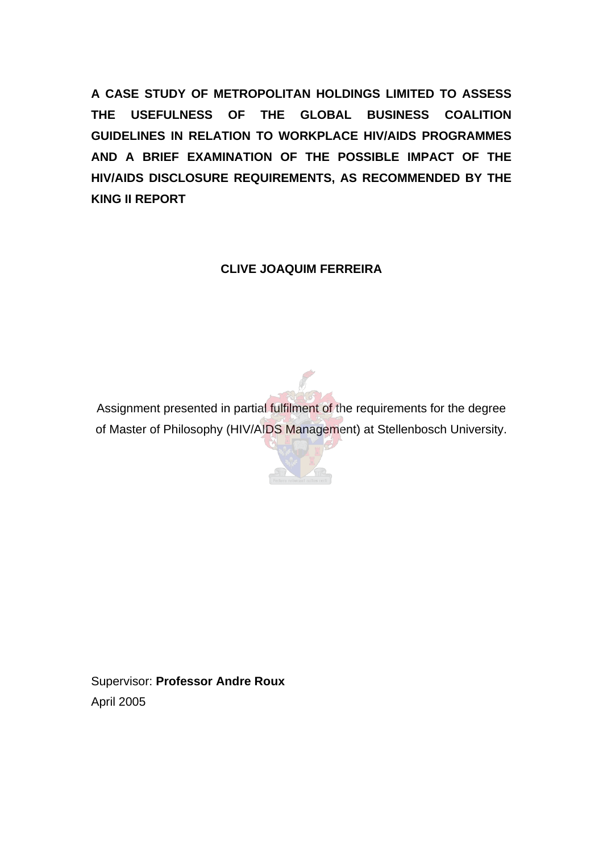**A CASE STUDY OF METROPOLITAN HOLDINGS LIMITED TO ASSESS THE USEFULNESS OF THE GLOBAL BUSINESS COALITION GUIDELINES IN RELATION TO WORKPLACE HIV/AIDS PROGRAMMES AND A BRIEF EXAMINATION OF THE POSSIBLE IMPACT OF THE HIV/AIDS DISCLOSURE REQUIREMENTS, AS RECOMMENDED BY THE KING II REPORT** 

**CLIVE JOAQUIM FERREIRA** 

Assignment presented in partial fulfilment of the requirements for the degree of Master of Philosophy (HIV/AIDS Management) at Stellenbosch University.

Supervisor: **Professor Andre Roux** April 2005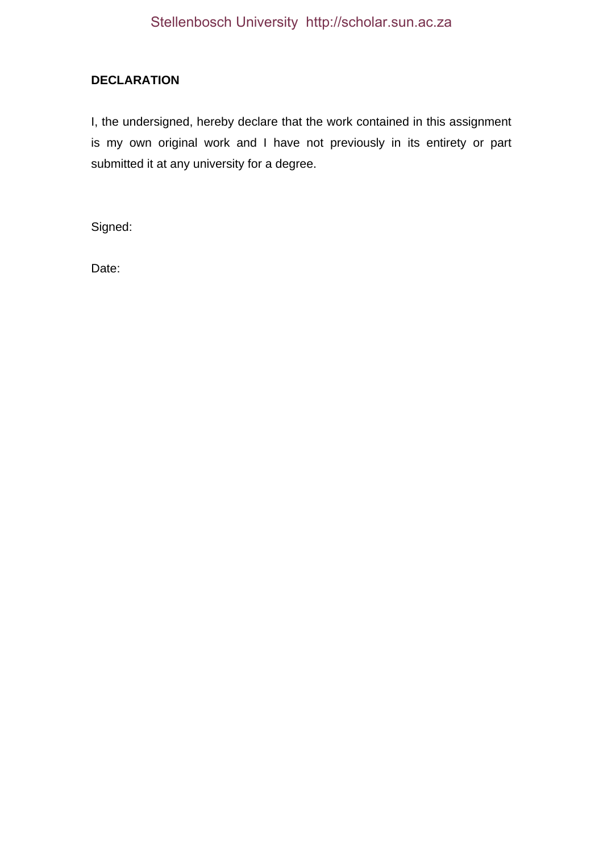# **DECLARATION**

I, the undersigned, hereby declare that the work contained in this assignment is my own original work and I have not previously in its entirety or part submitted it at any university for a degree.

Signed:

Date: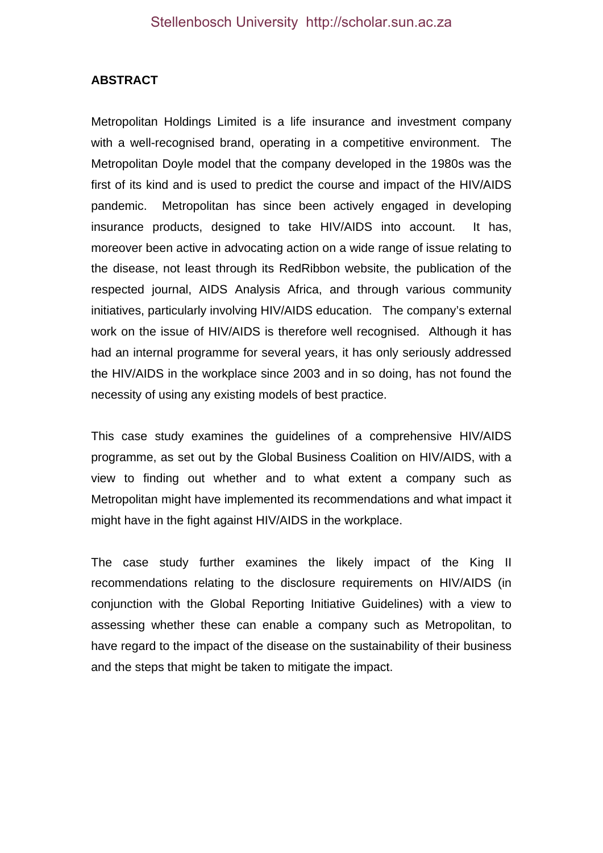### **ABSTRACT**

Metropolitan Holdings Limited is a life insurance and investment company with a well-recognised brand, operating in a competitive environment. The Metropolitan Doyle model that the company developed in the 1980s was the first of its kind and is used to predict the course and impact of the HIV/AIDS pandemic. Metropolitan has since been actively engaged in developing insurance products, designed to take HIV/AIDS into account. It has, moreover been active in advocating action on a wide range of issue relating to the disease, not least through its RedRibbon website, the publication of the respected journal, AIDS Analysis Africa, and through various community initiatives, particularly involving HIV/AIDS education. The company's external work on the issue of HIV/AIDS is therefore well recognised. Although it has had an internal programme for several years, it has only seriously addressed the HIV/AIDS in the workplace since 2003 and in so doing, has not found the necessity of using any existing models of best practice.

This case study examines the guidelines of a comprehensive HIV/AIDS programme, as set out by the Global Business Coalition on HIV/AIDS, with a view to finding out whether and to what extent a company such as Metropolitan might have implemented its recommendations and what impact it might have in the fight against HIV/AIDS in the workplace.

The case study further examines the likely impact of the King II recommendations relating to the disclosure requirements on HIV/AIDS (in conjunction with the Global Reporting Initiative Guidelines) with a view to assessing whether these can enable a company such as Metropolitan, to have regard to the impact of the disease on the sustainability of their business and the steps that might be taken to mitigate the impact.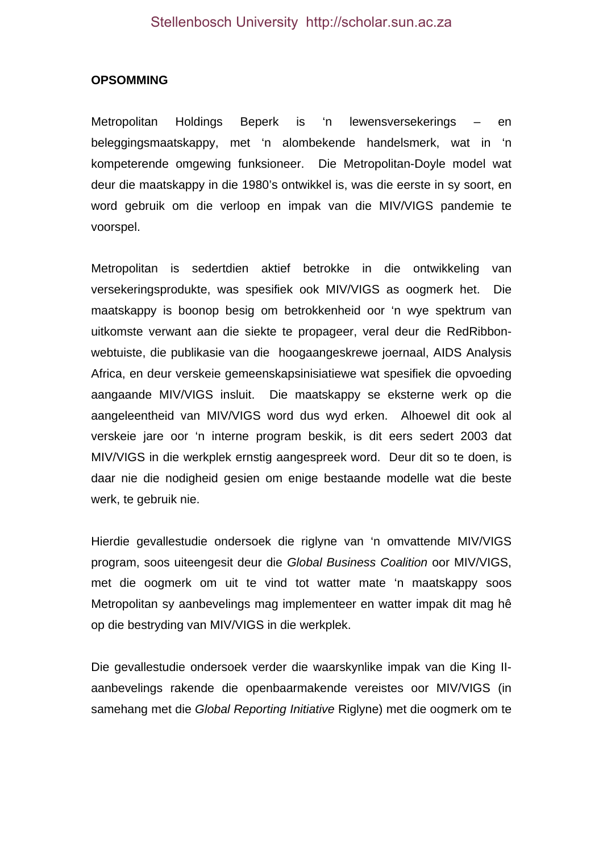#### **OPSOMMING**

Metropolitan Holdings Beperk is 'n lewensversekerings – en beleggingsmaatskappy, met 'n alombekende handelsmerk, wat in 'n kompeterende omgewing funksioneer. Die Metropolitan-Doyle model wat deur die maatskappy in die 1980's ontwikkel is, was die eerste in sy soort, en word gebruik om die verloop en impak van die MIV/VIGS pandemie te voorspel.

Metropolitan is sedertdien aktief betrokke in die ontwikkeling van versekeringsprodukte, was spesifiek ook MIV/VIGS as oogmerk het. Die maatskappy is boonop besig om betrokkenheid oor 'n wye spektrum van uitkomste verwant aan die siekte te propageer, veral deur die RedRibbonwebtuiste, die publikasie van die hoogaangeskrewe joernaal, AIDS Analysis Africa, en deur verskeie gemeenskapsinisiatiewe wat spesifiek die opvoeding aangaande MIV/VIGS insluit. Die maatskappy se eksterne werk op die aangeleentheid van MIV/VIGS word dus wyd erken. Alhoewel dit ook al verskeie jare oor 'n interne program beskik, is dit eers sedert 2003 dat MIV/VIGS in die werkplek ernstig aangespreek word. Deur dit so te doen, is daar nie die nodigheid gesien om enige bestaande modelle wat die beste werk, te gebruik nie.

Hierdie gevallestudie ondersoek die riglyne van 'n omvattende MIV/VIGS program, soos uiteengesit deur die *Global Business Coalition* oor MIV/VIGS, met die oogmerk om uit te vind tot watter mate 'n maatskappy soos Metropolitan sy aanbevelings mag implementeer en watter impak dit mag hê op die bestryding van MIV/VIGS in die werkplek.

Die gevallestudie ondersoek verder die waarskynlike impak van die King IIaanbevelings rakende die openbaarmakende vereistes oor MIV/VIGS (in samehang met die *Global Reporting Initiative* Riglyne) met die oogmerk om te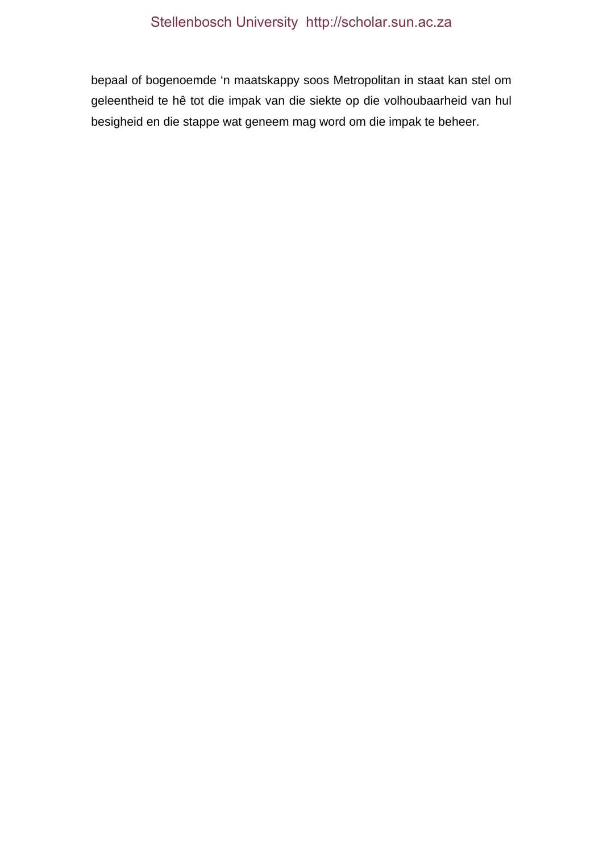bepaal of bogenoemde 'n maatskappy soos Metropolitan in staat kan stel om geleentheid te hê tot die impak van die siekte op die volhoubaarheid van hul besigheid en die stappe wat geneem mag word om die impak te beheer.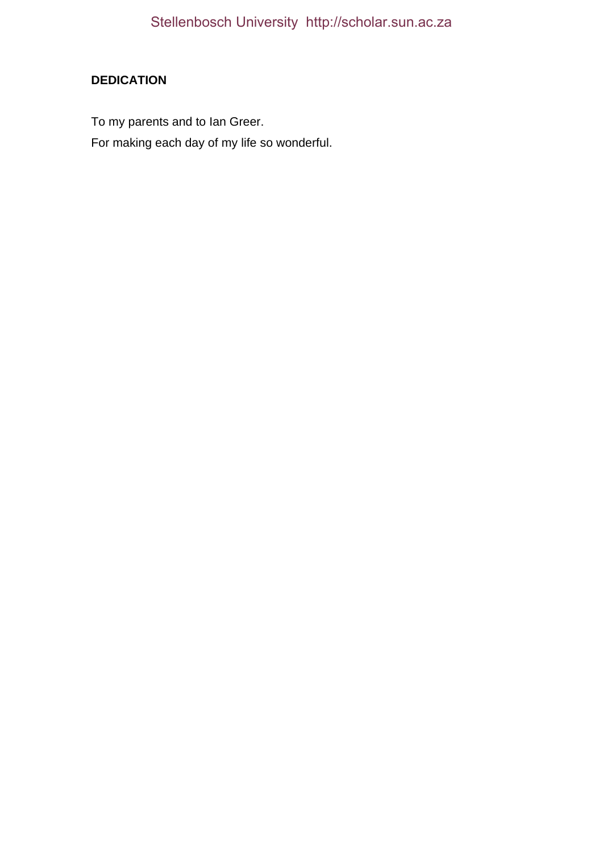# **DEDICATION**

To my parents and to Ian Greer.

For making each day of my life so wonderful.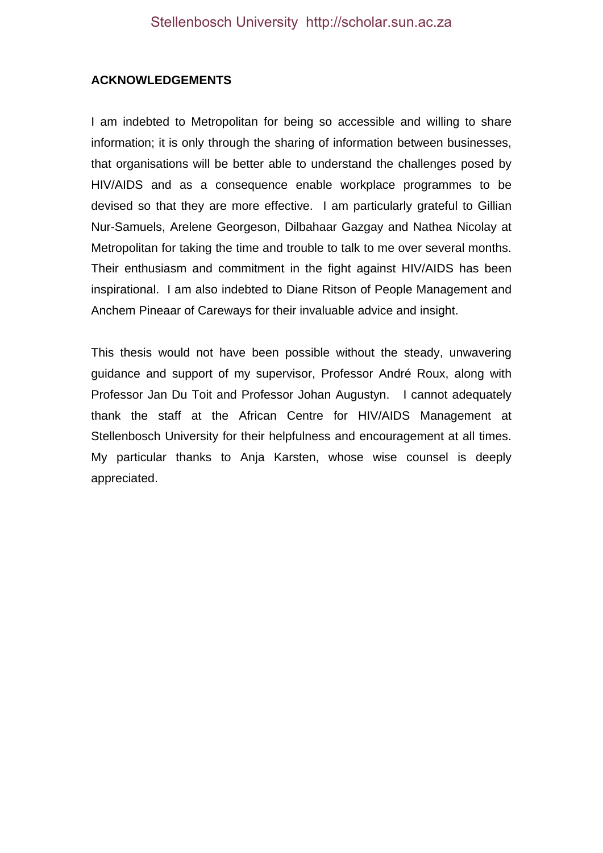### **ACKNOWLEDGEMENTS**

I am indebted to Metropolitan for being so accessible and willing to share information; it is only through the sharing of information between businesses, that organisations will be better able to understand the challenges posed by HIV/AIDS and as a consequence enable workplace programmes to be devised so that they are more effective. I am particularly grateful to Gillian Nur-Samuels, Arelene Georgeson, Dilbahaar Gazgay and Nathea Nicolay at Metropolitan for taking the time and trouble to talk to me over several months. Their enthusiasm and commitment in the fight against HIV/AIDS has been inspirational. I am also indebted to Diane Ritson of People Management and Anchem Pineaar of Careways for their invaluable advice and insight.

This thesis would not have been possible without the steady, unwavering guidance and support of my supervisor, Professor André Roux, along with Professor Jan Du Toit and Professor Johan Augustyn. I cannot adequately thank the staff at the African Centre for HIV/AIDS Management at Stellenbosch University for their helpfulness and encouragement at all times. My particular thanks to Anja Karsten, whose wise counsel is deeply appreciated.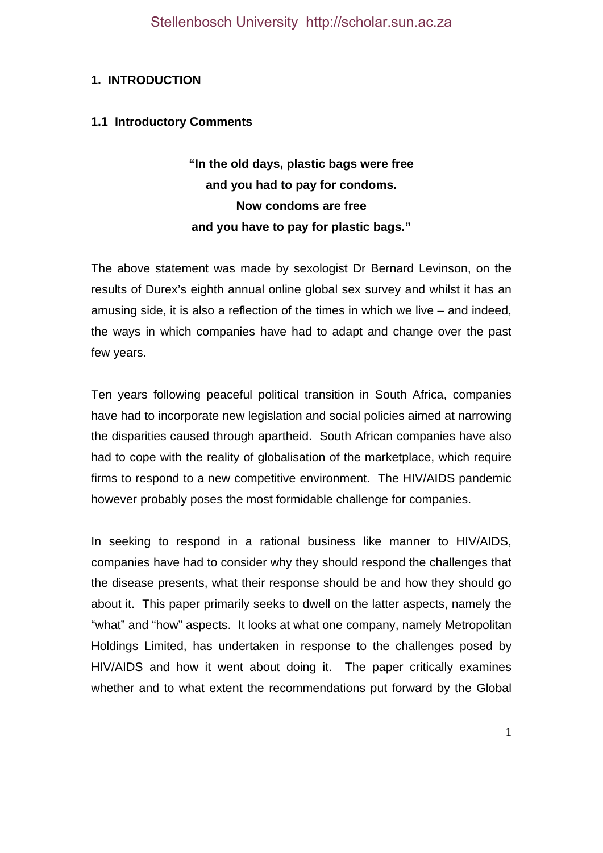# **1. INTRODUCTION**

### **1.1 Introductory Comments**

**"In the old days, plastic bags were free and you had to pay for condoms. Now condoms are free and you have to pay for plastic bags."** 

The above statement was made by sexologist Dr Bernard Levinson, on the results of Durex's eighth annual online global sex survey and whilst it has an amusing side, it is also a reflection of the times in which we live – and indeed, the ways in which companies have had to adapt and change over the past few years.

Ten years following peaceful political transition in South Africa, companies have had to incorporate new legislation and social policies aimed at narrowing the disparities caused through apartheid. South African companies have also had to cope with the reality of globalisation of the marketplace, which require firms to respond to a new competitive environment. The HIV/AIDS pandemic however probably poses the most formidable challenge for companies.

In seeking to respond in a rational business like manner to HIV/AIDS, companies have had to consider why they should respond the challenges that the disease presents, what their response should be and how they should go about it. This paper primarily seeks to dwell on the latter aspects, namely the "what" and "how" aspects. It looks at what one company, namely Metropolitan Holdings Limited, has undertaken in response to the challenges posed by HIV/AIDS and how it went about doing it. The paper critically examines whether and to what extent the recommendations put forward by the Global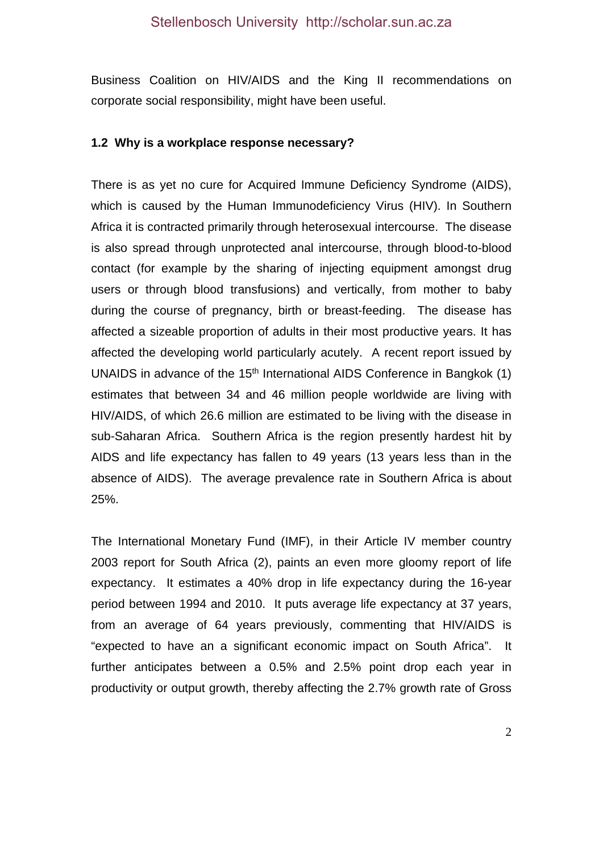Business Coalition on HIV/AIDS and the King II recommendations on corporate social responsibility, might have been useful.

#### **1.2 Why is a workplace response necessary?**

There is as yet no cure for Acquired Immune Deficiency Syndrome (AIDS), which is caused by the Human Immunodeficiency Virus (HIV). In Southern Africa it is contracted primarily through heterosexual intercourse. The disease is also spread through unprotected anal intercourse, through blood-to-blood contact (for example by the sharing of injecting equipment amongst drug users or through blood transfusions) and vertically, from mother to baby during the course of pregnancy, birth or breast-feeding. The disease has affected a sizeable proportion of adults in their most productive years. It has affected the developing world particularly acutely. A recent report issued by UNAIDS in advance of the 15<sup>th</sup> International AIDS Conference in Bangkok (1) estimates that between 34 and 46 million people worldwide are living with HIV/AIDS, of which 26.6 million are estimated to be living with the disease in sub-Saharan Africa. Southern Africa is the region presently hardest hit by AIDS and life expectancy has fallen to 49 years (13 years less than in the absence of AIDS). The average prevalence rate in Southern Africa is about 25%.

The International Monetary Fund (IMF), in their Article IV member country 2003 report for South Africa (2), paints an even more gloomy report of life expectancy. It estimates a 40% drop in life expectancy during the 16-year period between 1994 and 2010. It puts average life expectancy at 37 years, from an average of 64 years previously, commenting that HIV/AIDS is "expected to have an a significant economic impact on South Africa". It further anticipates between a 0.5% and 2.5% point drop each year in productivity or output growth, thereby affecting the 2.7% growth rate of Gross

2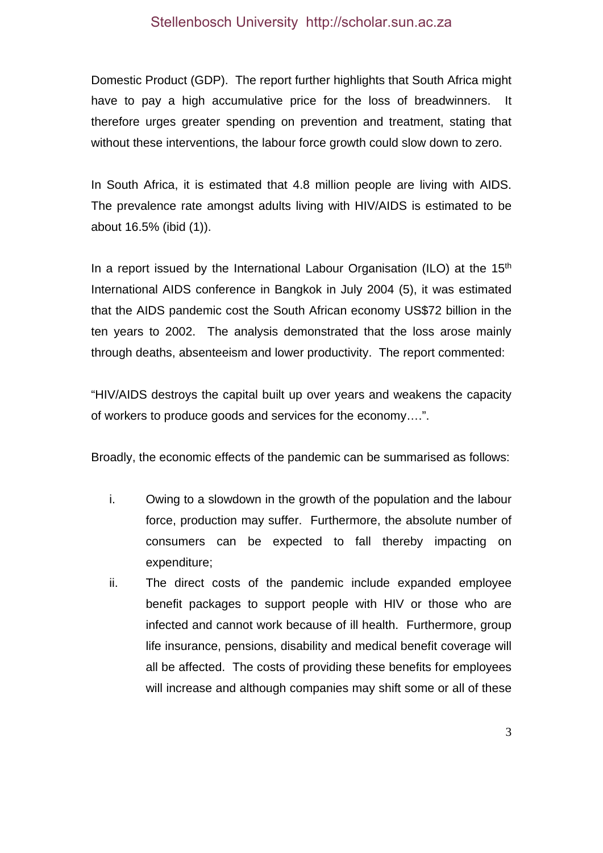Domestic Product (GDP). The report further highlights that South Africa might have to pay a high accumulative price for the loss of breadwinners. It therefore urges greater spending on prevention and treatment, stating that without these interventions, the labour force growth could slow down to zero.

In South Africa, it is estimated that 4.8 million people are living with AIDS. The prevalence rate amongst adults living with HIV/AIDS is estimated to be about 16.5% (ibid (1)).

In a report issued by the International Labour Organisation (ILO) at the  $15<sup>th</sup>$ International AIDS conference in Bangkok in July 2004 (5), it was estimated that the AIDS pandemic cost the South African economy US\$72 billion in the ten years to 2002. The analysis demonstrated that the loss arose mainly through deaths, absenteeism and lower productivity. The report commented:

"HIV/AIDS destroys the capital built up over years and weakens the capacity of workers to produce goods and services for the economy….".

Broadly, the economic effects of the pandemic can be summarised as follows:

- i. Owing to a slowdown in the growth of the population and the labour force, production may suffer. Furthermore, the absolute number of consumers can be expected to fall thereby impacting on expenditure;
- ii. The direct costs of the pandemic include expanded employee benefit packages to support people with HIV or those who are infected and cannot work because of ill health. Furthermore, group life insurance, pensions, disability and medical benefit coverage will all be affected. The costs of providing these benefits for employees will increase and although companies may shift some or all of these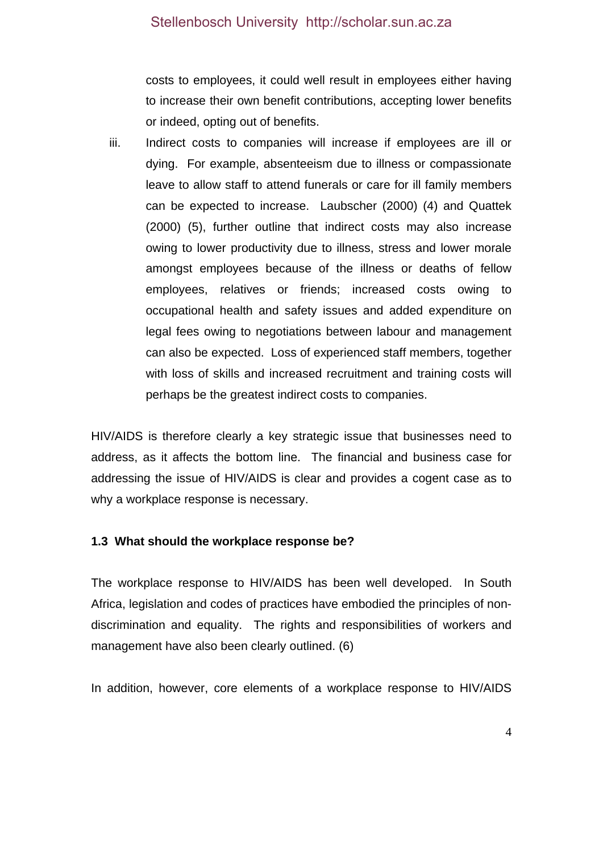costs to employees, it could well result in employees either having to increase their own benefit contributions, accepting lower benefits or indeed, opting out of benefits.

iii. Indirect costs to companies will increase if employees are ill or dying. For example, absenteeism due to illness or compassionate leave to allow staff to attend funerals or care for ill family members can be expected to increase. Laubscher (2000) (4) and Quattek (2000) (5), further outline that indirect costs may also increase owing to lower productivity due to illness, stress and lower morale amongst employees because of the illness or deaths of fellow employees, relatives or friends; increased costs owing to occupational health and safety issues and added expenditure on legal fees owing to negotiations between labour and management can also be expected. Loss of experienced staff members, together with loss of skills and increased recruitment and training costs will perhaps be the greatest indirect costs to companies.

HIV/AIDS is therefore clearly a key strategic issue that businesses need to address, as it affects the bottom line. The financial and business case for addressing the issue of HIV/AIDS is clear and provides a cogent case as to why a workplace response is necessary.

#### **1.3 What should the workplace response be?**

The workplace response to HIV/AIDS has been well developed. In South Africa, legislation and codes of practices have embodied the principles of nondiscrimination and equality. The rights and responsibilities of workers and management have also been clearly outlined. (6)

In addition, however, core elements of a workplace response to HIV/AIDS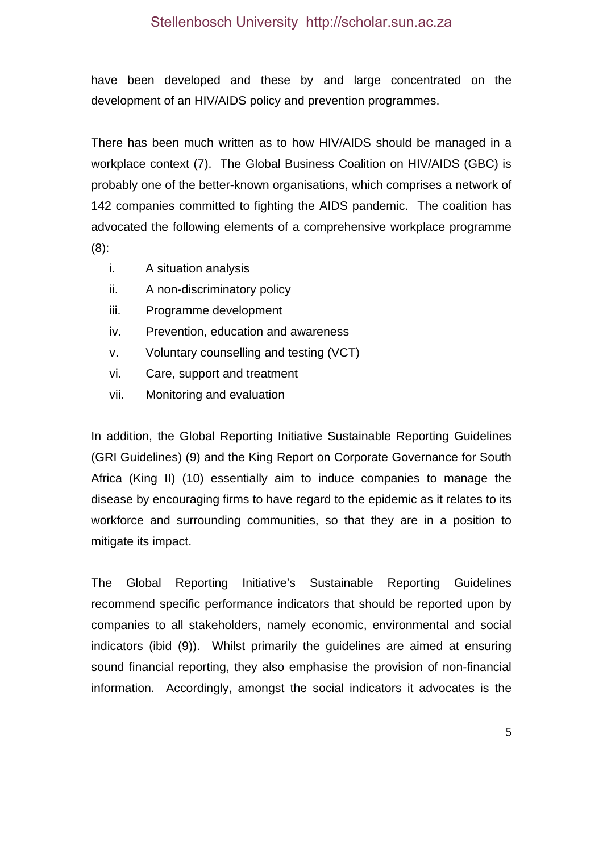have been developed and these by and large concentrated on the development of an HIV/AIDS policy and prevention programmes.

There has been much written as to how HIV/AIDS should be managed in a workplace context (7). The Global Business Coalition on HIV/AIDS (GBC) is probably one of the better-known organisations, which comprises a network of 142 companies committed to fighting the AIDS pandemic. The coalition has advocated the following elements of a comprehensive workplace programme (8):

- i. A situation analysis
- ii. A non-discriminatory policy
- iii. Programme development
- iv. Prevention, education and awareness
- v. Voluntary counselling and testing (VCT)
- vi. Care, support and treatment
- vii. Monitoring and evaluation

In addition, the Global Reporting Initiative Sustainable Reporting Guidelines (GRI Guidelines) (9) and the King Report on Corporate Governance for South Africa (King II) (10) essentially aim to induce companies to manage the disease by encouraging firms to have regard to the epidemic as it relates to its workforce and surrounding communities, so that they are in a position to mitigate its impact.

The Global Reporting Initiative's Sustainable Reporting Guidelines recommend specific performance indicators that should be reported upon by companies to all stakeholders, namely economic, environmental and social indicators (ibid (9)). Whilst primarily the guidelines are aimed at ensuring sound financial reporting, they also emphasise the provision of non-financial information. Accordingly, amongst the social indicators it advocates is the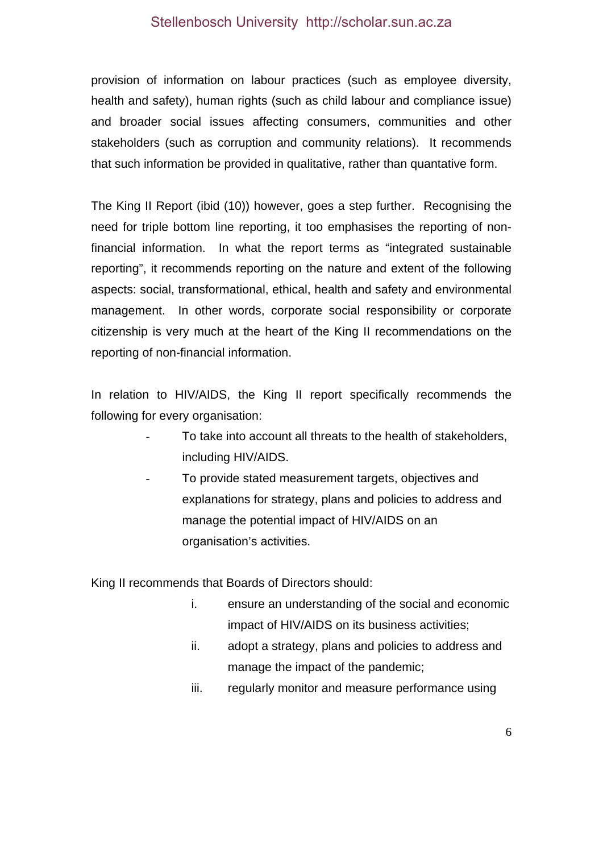provision of information on labour practices (such as employee diversity, health and safety), human rights (such as child labour and compliance issue) and broader social issues affecting consumers, communities and other stakeholders (such as corruption and community relations). It recommends that such information be provided in qualitative, rather than quantative form.

The King II Report (ibid (10)) however, goes a step further. Recognising the need for triple bottom line reporting, it too emphasises the reporting of nonfinancial information. In what the report terms as "integrated sustainable reporting", it recommends reporting on the nature and extent of the following aspects: social, transformational, ethical, health and safety and environmental management. In other words, corporate social responsibility or corporate citizenship is very much at the heart of the King II recommendations on the reporting of non-financial information.

In relation to HIV/AIDS, the King II report specifically recommends the following for every organisation:

- To take into account all threats to the health of stakeholders, including HIV/AIDS.
- To provide stated measurement targets, objectives and explanations for strategy, plans and policies to address and manage the potential impact of HIV/AIDS on an organisation's activities.

King II recommends that Boards of Directors should:

- i. ensure an understanding of the social and economic impact of HIV/AIDS on its business activities;
- ii. adopt a strategy, plans and policies to address and manage the impact of the pandemic;
- iii. regularly monitor and measure performance using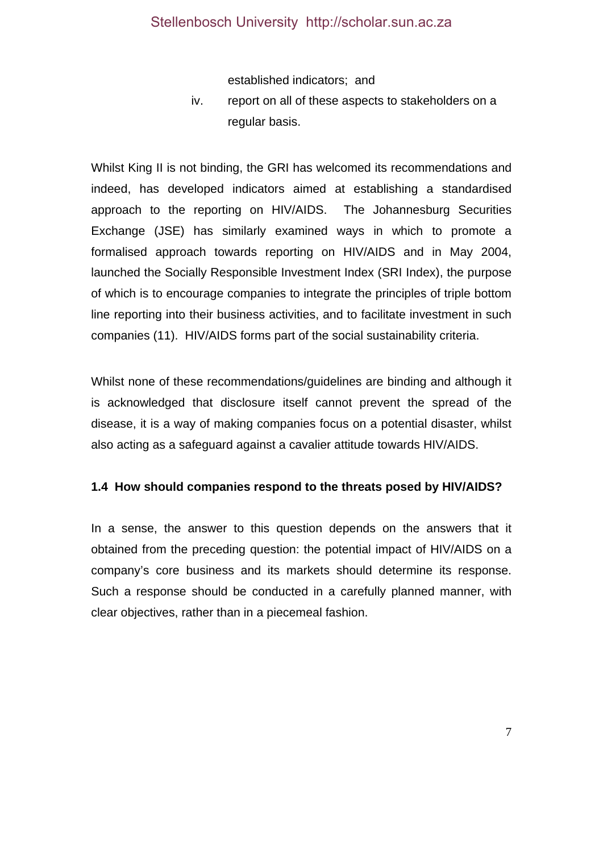established indicators; and

iv. report on all of these aspects to stakeholders on a regular basis.

Whilst King II is not binding, the GRI has welcomed its recommendations and indeed, has developed indicators aimed at establishing a standardised approach to the reporting on HIV/AIDS. The Johannesburg Securities Exchange (JSE) has similarly examined ways in which to promote a formalised approach towards reporting on HIV/AIDS and in May 2004, launched the Socially Responsible Investment Index (SRI Index), the purpose of which is to encourage companies to integrate the principles of triple bottom line reporting into their business activities, and to facilitate investment in such companies (11). HIV/AIDS forms part of the social sustainability criteria.

Whilst none of these recommendations/guidelines are binding and although it is acknowledged that disclosure itself cannot prevent the spread of the disease, it is a way of making companies focus on a potential disaster, whilst also acting as a safeguard against a cavalier attitude towards HIV/AIDS.

#### **1.4 How should companies respond to the threats posed by HIV/AIDS?**

In a sense, the answer to this question depends on the answers that it obtained from the preceding question: the potential impact of HIV/AIDS on a company's core business and its markets should determine its response. Such a response should be conducted in a carefully planned manner, with clear objectives, rather than in a piecemeal fashion.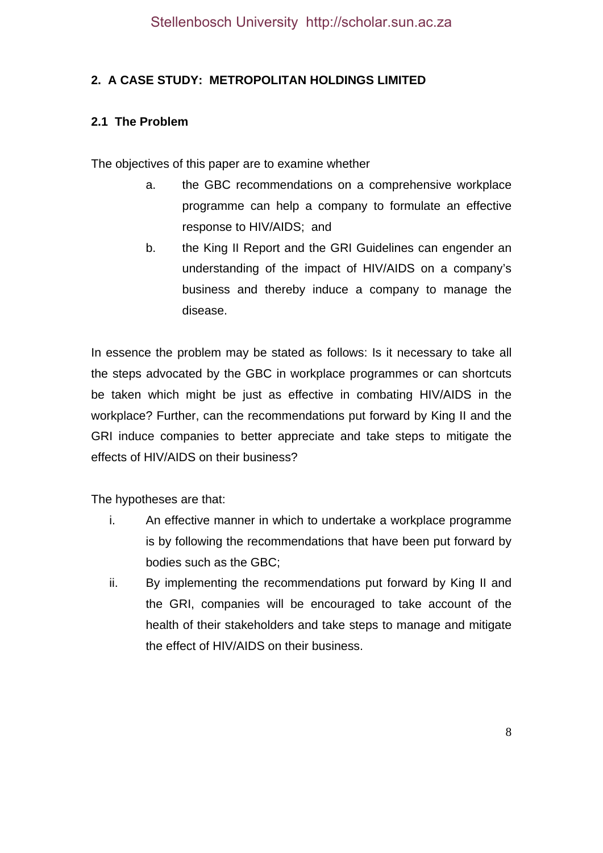# **2. A CASE STUDY: METROPOLITAN HOLDINGS LIMITED**

# **2.1 The Problem**

The objectives of this paper are to examine whether

- a. the GBC recommendations on a comprehensive workplace programme can help a company to formulate an effective response to HIV/AIDS; and
- b. the King II Report and the GRI Guidelines can engender an understanding of the impact of HIV/AIDS on a company's business and thereby induce a company to manage the disease.

In essence the problem may be stated as follows: Is it necessary to take all the steps advocated by the GBC in workplace programmes or can shortcuts be taken which might be just as effective in combating HIV/AIDS in the workplace? Further, can the recommendations put forward by King II and the GRI induce companies to better appreciate and take steps to mitigate the effects of HIV/AIDS on their business?

The hypotheses are that:

- i. An effective manner in which to undertake a workplace programme is by following the recommendations that have been put forward by bodies such as the GBC;
- ii. By implementing the recommendations put forward by King II and the GRI, companies will be encouraged to take account of the health of their stakeholders and take steps to manage and mitigate the effect of HIV/AIDS on their business.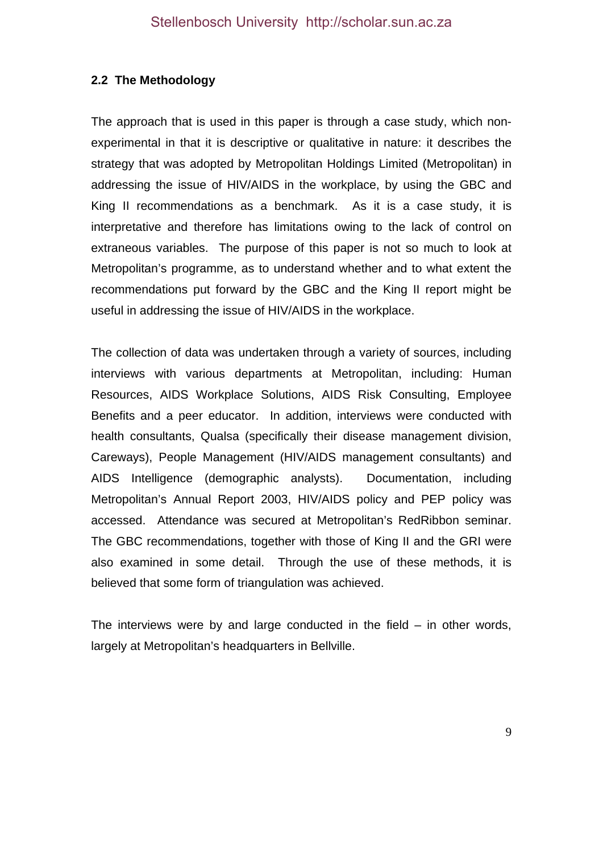### **2.2 The Methodology**

The approach that is used in this paper is through a case study, which nonexperimental in that it is descriptive or qualitative in nature: it describes the strategy that was adopted by Metropolitan Holdings Limited (Metropolitan) in addressing the issue of HIV/AIDS in the workplace, by using the GBC and King II recommendations as a benchmark. As it is a case study, it is interpretative and therefore has limitations owing to the lack of control on extraneous variables. The purpose of this paper is not so much to look at Metropolitan's programme, as to understand whether and to what extent the recommendations put forward by the GBC and the King II report might be useful in addressing the issue of HIV/AIDS in the workplace.

The collection of data was undertaken through a variety of sources, including interviews with various departments at Metropolitan, including: Human Resources, AIDS Workplace Solutions, AIDS Risk Consulting, Employee Benefits and a peer educator. In addition, interviews were conducted with health consultants, Qualsa (specifically their disease management division, Careways), People Management (HIV/AIDS management consultants) and AIDS Intelligence (demographic analysts). Documentation, including Metropolitan's Annual Report 2003, HIV/AIDS policy and PEP policy was accessed. Attendance was secured at Metropolitan's RedRibbon seminar. The GBC recommendations, together with those of King II and the GRI were also examined in some detail. Through the use of these methods, it is believed that some form of triangulation was achieved.

The interviews were by and large conducted in the field  $-$  in other words, largely at Metropolitan's headquarters in Bellville.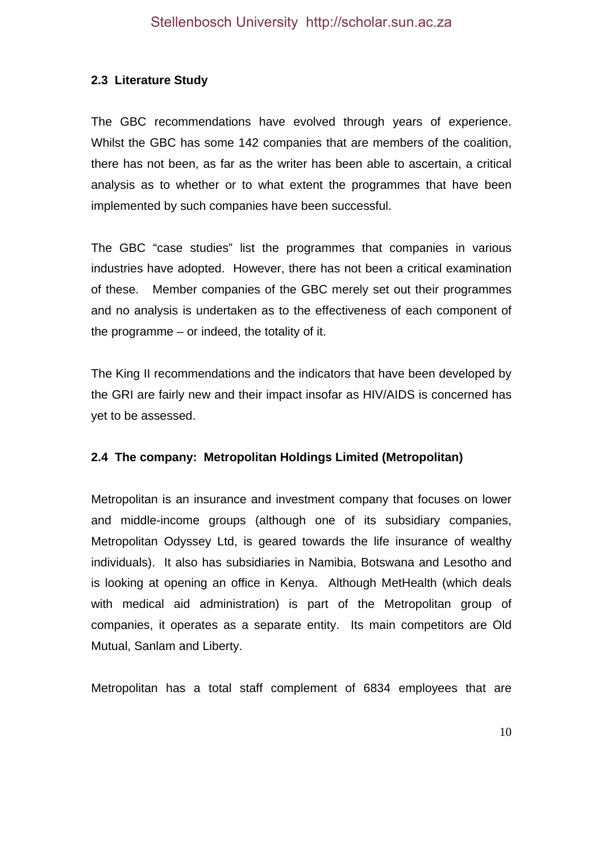## **2.3 Literature Study**

The GBC recommendations have evolved through years of experience. Whilst the GBC has some 142 companies that are members of the coalition, there has not been, as far as the writer has been able to ascertain, a critical analysis as to whether or to what extent the programmes that have been implemented by such companies have been successful.

The GBC "case studies" list the programmes that companies in various industries have adopted. However, there has not been a critical examination of these. Member companies of the GBC merely set out their programmes and no analysis is undertaken as to the effectiveness of each component of the programme – or indeed, the totality of it.

The King II recommendations and the indicators that have been developed by the GRI are fairly new and their impact insofar as HIV/AIDS is concerned has yet to be assessed.

# **2.4 The company: Metropolitan Holdings Limited (Metropolitan)**

Metropolitan is an insurance and investment company that focuses on lower and middle-income groups (although one of its subsidiary companies, Metropolitan Odyssey Ltd, is geared towards the life insurance of wealthy individuals). It also has subsidiaries in Namibia, Botswana and Lesotho and is looking at opening an office in Kenya. Although MetHealth (which deals with medical aid administration) is part of the Metropolitan group of companies, it operates as a separate entity. Its main competitors are Old Mutual, Sanlam and Liberty.

Metropolitan has a total staff complement of 6834 employees that are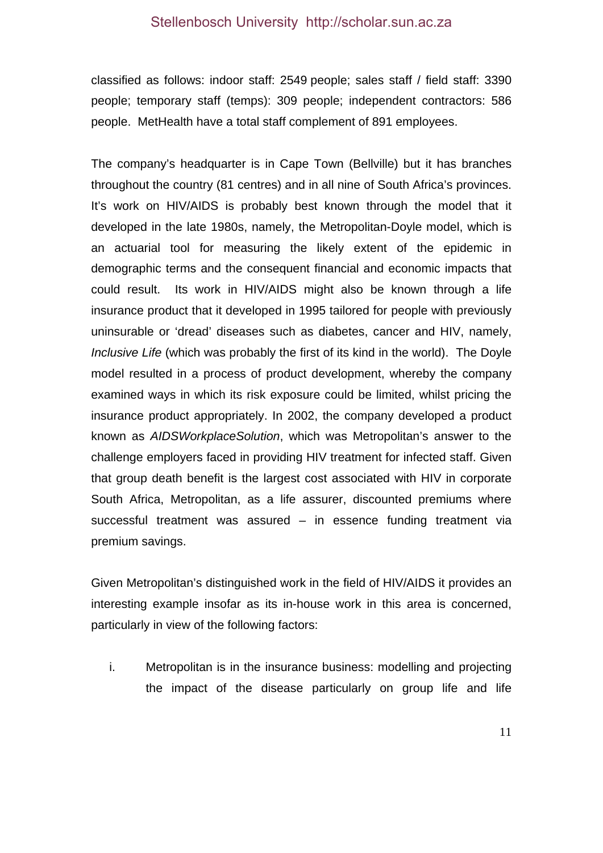classified as follows: indoor staff: 2549 people; sales staff / field staff: 3390 people; temporary staff (temps): 309 people; independent contractors: 586 people. MetHealth have a total staff complement of 891 employees.

The company's headquarter is in Cape Town (Bellville) but it has branches throughout the country (81 centres) and in all nine of South Africa's provinces. It's work on HIV/AIDS is probably best known through the model that it developed in the late 1980s, namely, the Metropolitan-Doyle model, which is an actuarial tool for measuring the likely extent of the epidemic in demographic terms and the consequent financial and economic impacts that could result. Its work in HIV/AIDS might also be known through a life insurance product that it developed in 1995 tailored for people with previously uninsurable or 'dread' diseases such as diabetes, cancer and HIV, namely, *Inclusive Life* (which was probably the first of its kind in the world). The Doyle model resulted in a process of product development, whereby the company examined ways in which its risk exposure could be limited, whilst pricing the insurance product appropriately. In 2002, the company developed a product known as *AIDSWorkplaceSolution*, which was Metropolitan's answer to the challenge employers faced in providing HIV treatment for infected staff. Given that group death benefit is the largest cost associated with HIV in corporate South Africa, Metropolitan, as a life assurer, discounted premiums where successful treatment was assured – in essence funding treatment via premium savings.

Given Metropolitan's distinguished work in the field of HIV/AIDS it provides an interesting example insofar as its in-house work in this area is concerned, particularly in view of the following factors:

i. Metropolitan is in the insurance business: modelling and projecting the impact of the disease particularly on group life and life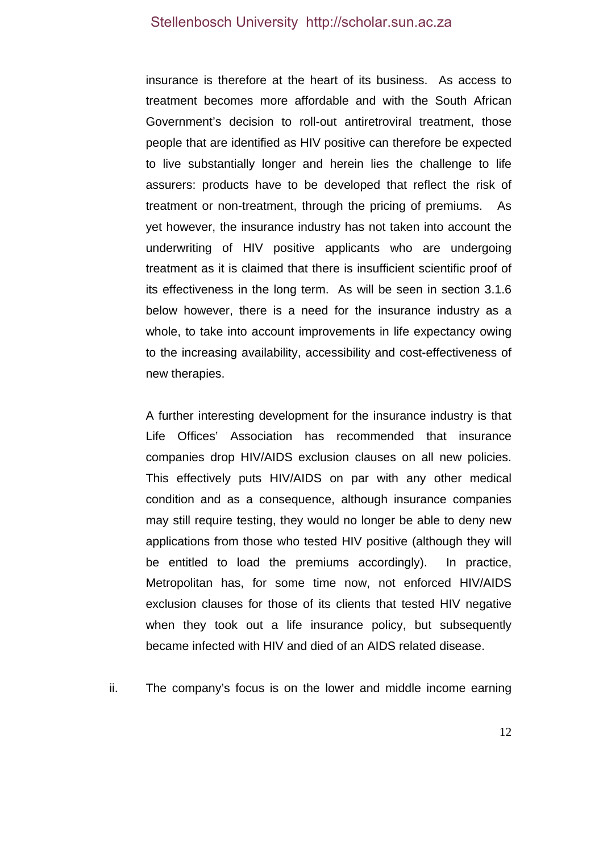insurance is therefore at the heart of its business. As access to treatment becomes more affordable and with the South African Government's decision to roll-out antiretroviral treatment, those people that are identified as HIV positive can therefore be expected to live substantially longer and herein lies the challenge to life assurers: products have to be developed that reflect the risk of treatment or non-treatment, through the pricing of premiums. As yet however, the insurance industry has not taken into account the underwriting of HIV positive applicants who are undergoing treatment as it is claimed that there is insufficient scientific proof of its effectiveness in the long term. As will be seen in section 3.1.6 below however, there is a need for the insurance industry as a whole, to take into account improvements in life expectancy owing to the increasing availability, accessibility and cost-effectiveness of new therapies.

A further interesting development for the insurance industry is that Life Offices' Association has recommended that insurance companies drop HIV/AIDS exclusion clauses on all new policies. This effectively puts HIV/AIDS on par with any other medical condition and as a consequence, although insurance companies may still require testing, they would no longer be able to deny new applications from those who tested HIV positive (although they will be entitled to load the premiums accordingly). In practice, Metropolitan has, for some time now, not enforced HIV/AIDS exclusion clauses for those of its clients that tested HIV negative when they took out a life insurance policy, but subsequently became infected with HIV and died of an AIDS related disease.

ii. The company's focus is on the lower and middle income earning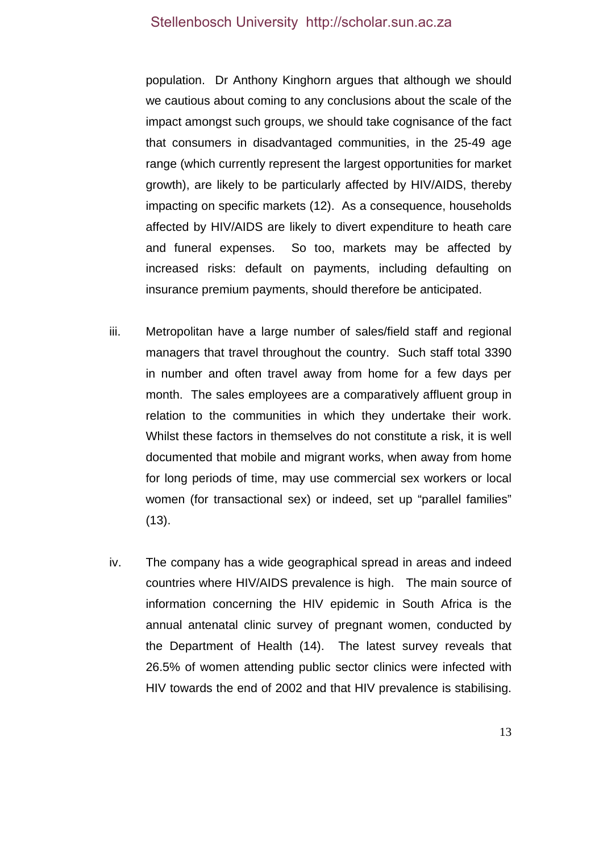population. Dr Anthony Kinghorn argues that although we should we cautious about coming to any conclusions about the scale of the impact amongst such groups, we should take cognisance of the fact that consumers in disadvantaged communities, in the 25-49 age range (which currently represent the largest opportunities for market growth), are likely to be particularly affected by HIV/AIDS, thereby impacting on specific markets (12). As a consequence, households affected by HIV/AIDS are likely to divert expenditure to heath care and funeral expenses. So too, markets may be affected by increased risks: default on payments, including defaulting on insurance premium payments, should therefore be anticipated.

- iii. Metropolitan have a large number of sales/field staff and regional managers that travel throughout the country. Such staff total 3390 in number and often travel away from home for a few days per month. The sales employees are a comparatively affluent group in relation to the communities in which they undertake their work. Whilst these factors in themselves do not constitute a risk, it is well documented that mobile and migrant works, when away from home for long periods of time, may use commercial sex workers or local women (for transactional sex) or indeed, set up "parallel families" (13).
- iv. The company has a wide geographical spread in areas and indeed countries where HIV/AIDS prevalence is high. The main source of information concerning the HIV epidemic in South Africa is the annual antenatal clinic survey of pregnant women, conducted by the Department of Health (14). The latest survey reveals that 26.5% of women attending public sector clinics were infected with HIV towards the end of 2002 and that HIV prevalence is stabilising.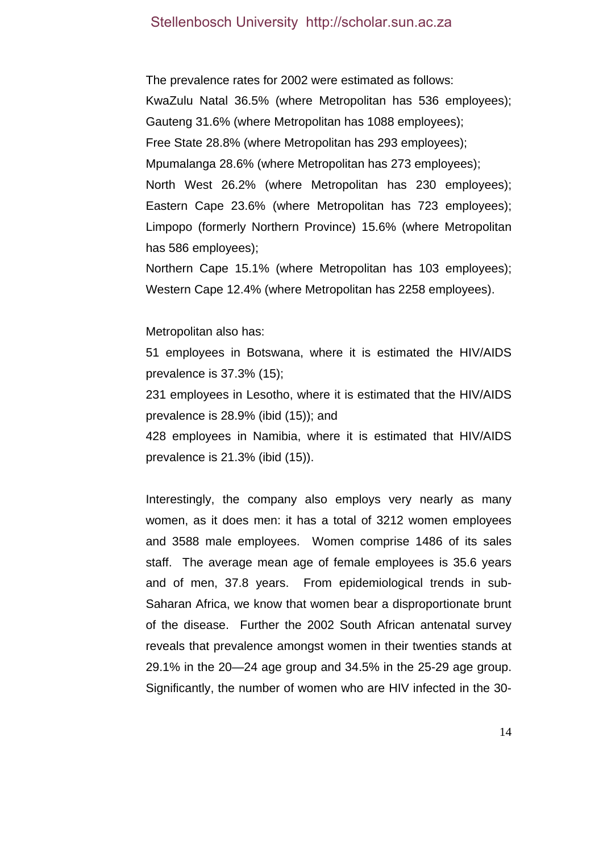The prevalence rates for 2002 were estimated as follows: KwaZulu Natal 36.5% (where Metropolitan has 536 employees); Gauteng 31.6% (where Metropolitan has 1088 employees); Free State 28.8% (where Metropolitan has 293 employees); Mpumalanga 28.6% (where Metropolitan has 273 employees); North West 26.2% (where Metropolitan has 230 employees); Eastern Cape 23.6% (where Metropolitan has 723 employees); Limpopo (formerly Northern Province) 15.6% (where Metropolitan has 586 employees);

Northern Cape 15.1% (where Metropolitan has 103 employees); Western Cape 12.4% (where Metropolitan has 2258 employees).

Metropolitan also has:

51 employees in Botswana, where it is estimated the HIV/AIDS prevalence is 37.3% (15);

231 employees in Lesotho, where it is estimated that the HIV/AIDS prevalence is 28.9% (ibid (15)); and

428 employees in Namibia, where it is estimated that HIV/AIDS prevalence is 21.3% (ibid (15)).

Interestingly, the company also employs very nearly as many women, as it does men: it has a total of 3212 women employees and 3588 male employees. Women comprise 1486 of its sales staff. The average mean age of female employees is 35.6 years and of men, 37.8 years. From epidemiological trends in sub-Saharan Africa, we know that women bear a disproportionate brunt of the disease. Further the 2002 South African antenatal survey reveals that prevalence amongst women in their twenties stands at 29.1% in the 20—24 age group and 34.5% in the 25-29 age group. Significantly, the number of women who are HIV infected in the 30-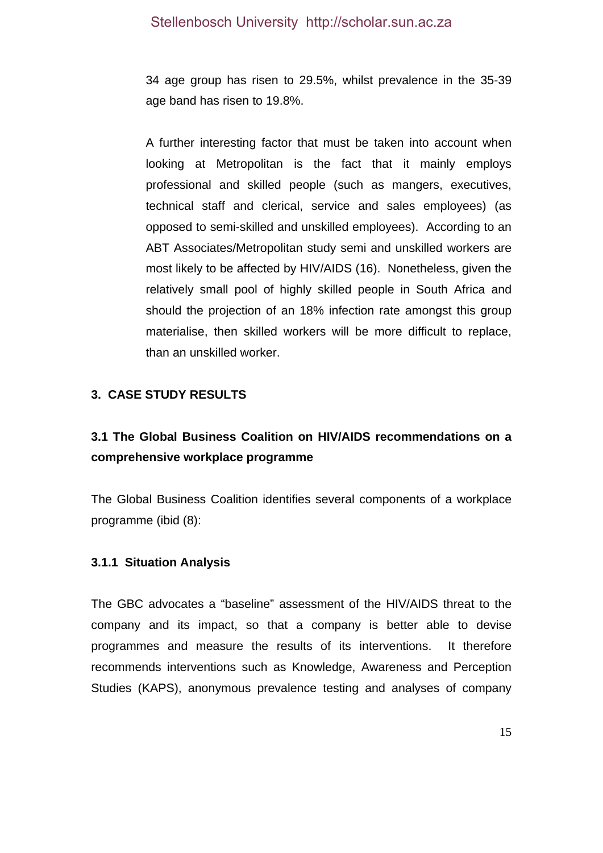34 age group has risen to 29.5%, whilst prevalence in the 35-39 age band has risen to 19.8%.

A further interesting factor that must be taken into account when looking at Metropolitan is the fact that it mainly employs professional and skilled people (such as mangers, executives, technical staff and clerical, service and sales employees) (as opposed to semi-skilled and unskilled employees). According to an ABT Associates/Metropolitan study semi and unskilled workers are most likely to be affected by HIV/AIDS (16). Nonetheless, given the relatively small pool of highly skilled people in South Africa and should the projection of an 18% infection rate amongst this group materialise, then skilled workers will be more difficult to replace, than an unskilled worker.

### **3. CASE STUDY RESULTS**

# **3.1 The Global Business Coalition on HIV/AIDS recommendations on a comprehensive workplace programme**

The Global Business Coalition identifies several components of a workplace programme (ibid (8):

#### **3.1.1 Situation Analysis**

The GBC advocates a "baseline" assessment of the HIV/AIDS threat to the company and its impact, so that a company is better able to devise programmes and measure the results of its interventions. It therefore recommends interventions such as Knowledge, Awareness and Perception Studies (KAPS), anonymous prevalence testing and analyses of company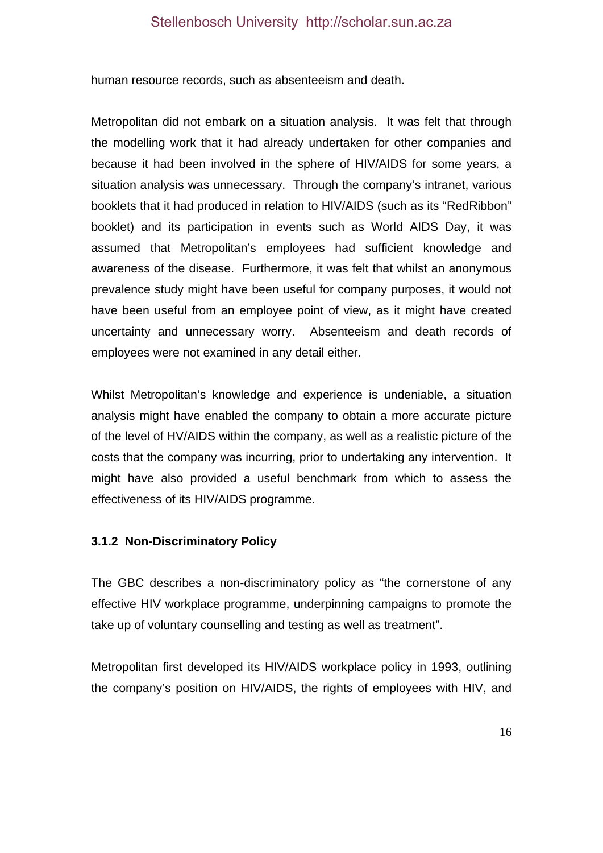human resource records, such as absenteeism and death.

Metropolitan did not embark on a situation analysis. It was felt that through the modelling work that it had already undertaken for other companies and because it had been involved in the sphere of HIV/AIDS for some years, a situation analysis was unnecessary. Through the company's intranet, various booklets that it had produced in relation to HIV/AIDS (such as its "RedRibbon" booklet) and its participation in events such as World AIDS Day, it was assumed that Metropolitan's employees had sufficient knowledge and awareness of the disease. Furthermore, it was felt that whilst an anonymous prevalence study might have been useful for company purposes, it would not have been useful from an employee point of view, as it might have created uncertainty and unnecessary worry. Absenteeism and death records of employees were not examined in any detail either.

Whilst Metropolitan's knowledge and experience is undeniable, a situation analysis might have enabled the company to obtain a more accurate picture of the level of HV/AIDS within the company, as well as a realistic picture of the costs that the company was incurring, prior to undertaking any intervention. It might have also provided a useful benchmark from which to assess the effectiveness of its HIV/AIDS programme.

#### **3.1.2 Non-Discriminatory Policy**

The GBC describes a non-discriminatory policy as "the cornerstone of any effective HIV workplace programme, underpinning campaigns to promote the take up of voluntary counselling and testing as well as treatment".

Metropolitan first developed its HIV/AIDS workplace policy in 1993, outlining the company's position on HIV/AIDS, the rights of employees with HIV, and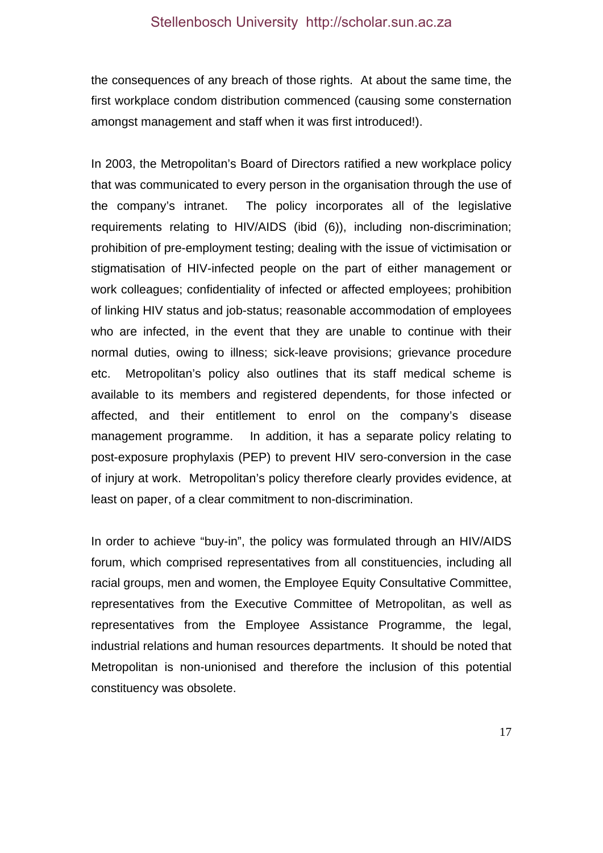the consequences of any breach of those rights. At about the same time, the first workplace condom distribution commenced (causing some consternation amongst management and staff when it was first introduced!).

In 2003, the Metropolitan's Board of Directors ratified a new workplace policy that was communicated to every person in the organisation through the use of the company's intranet. The policy incorporates all of the legislative requirements relating to HIV/AIDS (ibid (6)), including non-discrimination; prohibition of pre-employment testing; dealing with the issue of victimisation or stigmatisation of HIV-infected people on the part of either management or work colleagues; confidentiality of infected or affected employees; prohibition of linking HIV status and job-status; reasonable accommodation of employees who are infected, in the event that they are unable to continue with their normal duties, owing to illness; sick-leave provisions; grievance procedure etc. Metropolitan's policy also outlines that its staff medical scheme is available to its members and registered dependents, for those infected or affected, and their entitlement to enrol on the company's disease management programme. In addition, it has a separate policy relating to post-exposure prophylaxis (PEP) to prevent HIV sero-conversion in the case of injury at work. Metropolitan's policy therefore clearly provides evidence, at least on paper, of a clear commitment to non-discrimination.

In order to achieve "buy-in", the policy was formulated through an HIV/AIDS forum, which comprised representatives from all constituencies, including all racial groups, men and women, the Employee Equity Consultative Committee, representatives from the Executive Committee of Metropolitan, as well as representatives from the Employee Assistance Programme, the legal, industrial relations and human resources departments. It should be noted that Metropolitan is non-unionised and therefore the inclusion of this potential constituency was obsolete.

17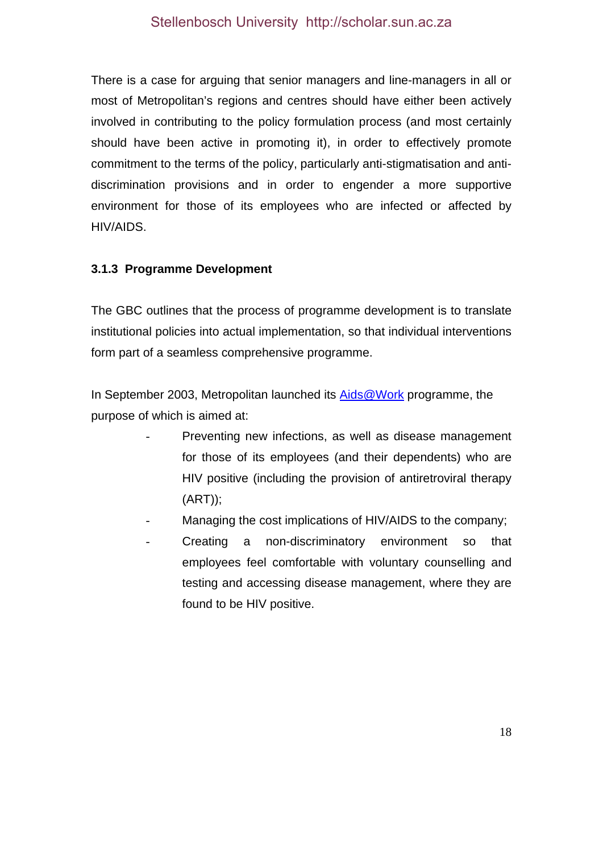There is a case for arguing that senior managers and line-managers in all or most of Metropolitan's regions and centres should have either been actively involved in contributing to the policy formulation process (and most certainly should have been active in promoting it), in order to effectively promote commitment to the terms of the policy, particularly anti-stigmatisation and antidiscrimination provisions and in order to engender a more supportive environment for those of its employees who are infected or affected by HIV/AIDS.

# **3.1.3 Programme Development**

The GBC outlines that the process of programme development is to translate institutional policies into actual implementation, so that individual interventions form part of a seamless comprehensive programme.

In September 2003, Metropolitan launched its Aids@Work programme, the purpose of which is aimed at:

- Preventing new infections, as well as disease management for those of its employees (and their dependents) who are HIV positive (including the provision of antiretroviral therapy (ART));
- Managing the cost implications of HIV/AIDS to the company;
- Creating a non-discriminatory environment so that employees feel comfortable with voluntary counselling and testing and accessing disease management, where they are found to be HIV positive.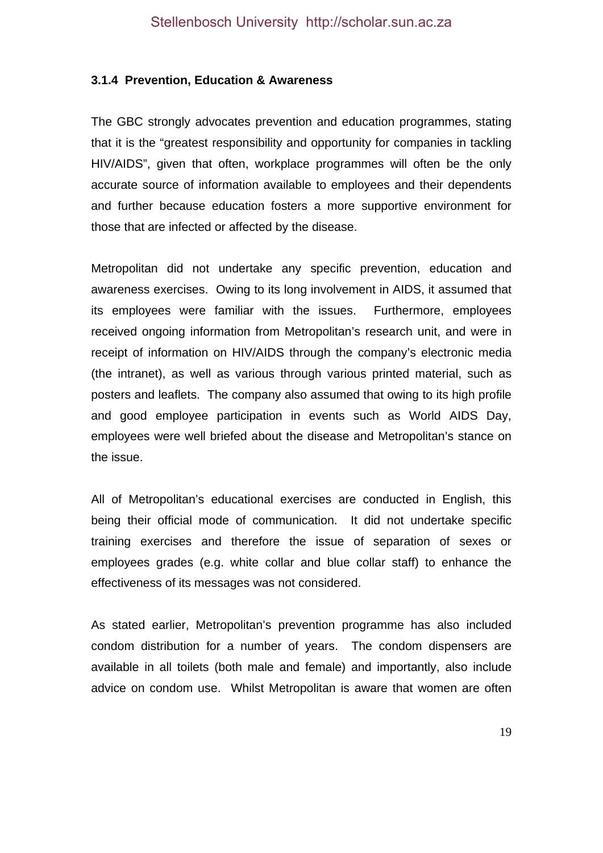#### **3.1.4 Prevention, Education & Awareness**

The GBC strongly advocates prevention and education programmes, stating that it is the "greatest responsibility and opportunity for companies in tackling HIV/AIDS", given that often, workplace programmes will often be the only accurate source of information available to employees and their dependents and further because education fosters a more supportive environment for those that are infected or affected by the disease.

Metropolitan did not undertake any specific prevention, education and awareness exercises. Owing to its long involvement in AIDS, it assumed that its employees were familiar with the issues. Furthermore, employees received ongoing information from Metropolitan's research unit, and were in receipt of information on HIV/AIDS through the company's electronic media (the intranet), as well as various through various printed material, such as posters and leaflets. The company also assumed that owing to its high profile and good employee participation in events such as World AIDS Day, employees were well briefed about the disease and Metropolitan's stance on the issue.

All of Metropolitan's educational exercises are conducted in English, this being their official mode of communication. It did not undertake specific training exercises and therefore the issue of separation of sexes or employees grades (e.g. white collar and blue collar staff) to enhance the effectiveness of its messages was not considered.

As stated earlier, Metropolitan's prevention programme has also included condom distribution for a number of years. The condom dispensers are available in all toilets (both male and female) and importantly, also include advice on condom use. Whilst Metropolitan is aware that women are often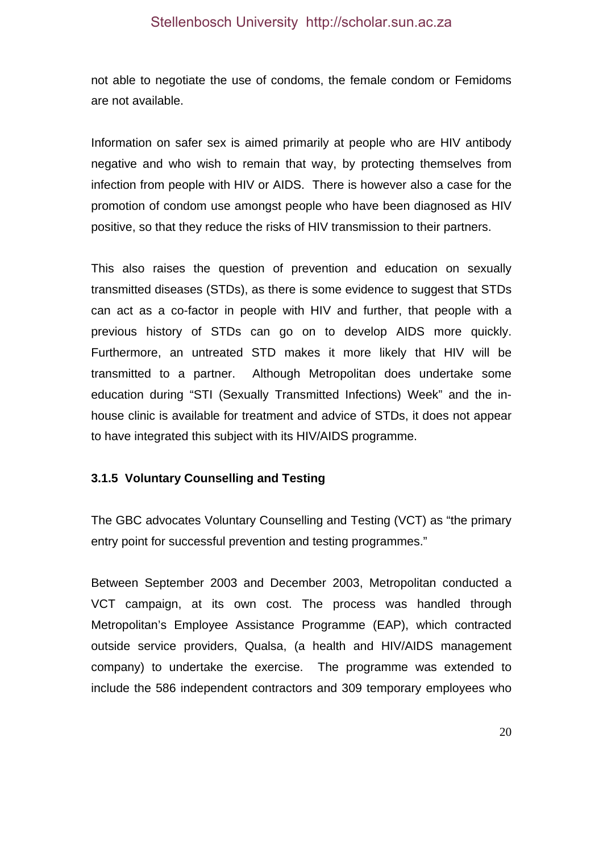not able to negotiate the use of condoms, the female condom or Femidoms are not available.

Information on safer sex is aimed primarily at people who are HIV antibody negative and who wish to remain that way, by protecting themselves from infection from people with HIV or AIDS. There is however also a case for the promotion of condom use amongst people who have been diagnosed as HIV positive, so that they reduce the risks of HIV transmission to their partners.

This also raises the question of prevention and education on sexually transmitted diseases (STDs), as there is some evidence to suggest that STDs can act as a co-factor in people with HIV and further, that people with a previous history of STDs can go on to develop AIDS more quickly. Furthermore, an untreated STD makes it more likely that HIV will be transmitted to a partner. Although Metropolitan does undertake some education during "STI (Sexually Transmitted Infections) Week" and the inhouse clinic is available for treatment and advice of STDs, it does not appear to have integrated this subject with its HIV/AIDS programme.

#### **3.1.5 Voluntary Counselling and Testing**

The GBC advocates Voluntary Counselling and Testing (VCT) as "the primary entry point for successful prevention and testing programmes."

Between September 2003 and December 2003, Metropolitan conducted a VCT campaign, at its own cost. The process was handled through Metropolitan's Employee Assistance Programme (EAP), which contracted outside service providers, Qualsa, (a health and HIV/AIDS management company) to undertake the exercise. The programme was extended to include the 586 independent contractors and 309 temporary employees who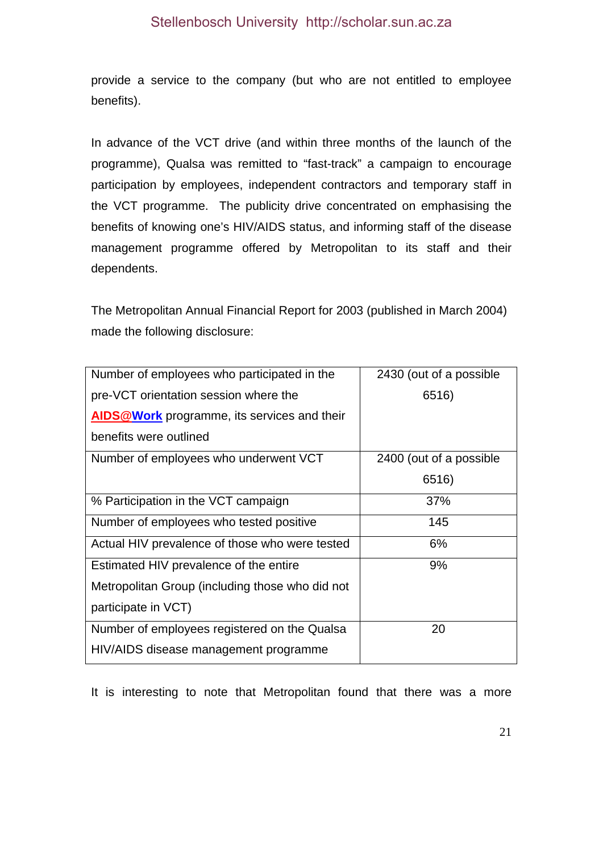provide a service to the company (but who are not entitled to employee benefits).

In advance of the VCT drive (and within three months of the launch of the programme), Qualsa was remitted to "fast-track" a campaign to encourage participation by employees, independent contractors and temporary staff in the VCT programme. The publicity drive concentrated on emphasising the benefits of knowing one's HIV/AIDS status, and informing staff of the disease management programme offered by Metropolitan to its staff and their dependents.

The Metropolitan Annual Financial Report for 2003 (published in March 2004) made the following disclosure:

| Number of employees who participated in the        | 2430 (out of a possible |
|----------------------------------------------------|-------------------------|
| pre-VCT orientation session where the              | 6516)                   |
| <b>AIDS@Work</b> programme, its services and their |                         |
| benefits were outlined                             |                         |
| Number of employees who underwent VCT              | 2400 (out of a possible |
|                                                    | 6516)                   |
| % Participation in the VCT campaign                | 37%                     |
| Number of employees who tested positive            | 145                     |
| Actual HIV prevalence of those who were tested     | 6%                      |
| Estimated HIV prevalence of the entire             | 9%                      |
| Metropolitan Group (including those who did not    |                         |
| participate in VCT)                                |                         |
| Number of employees registered on the Qualsa       | 20                      |
| HIV/AIDS disease management programme              |                         |

It is interesting to note that Metropolitan found that there was a more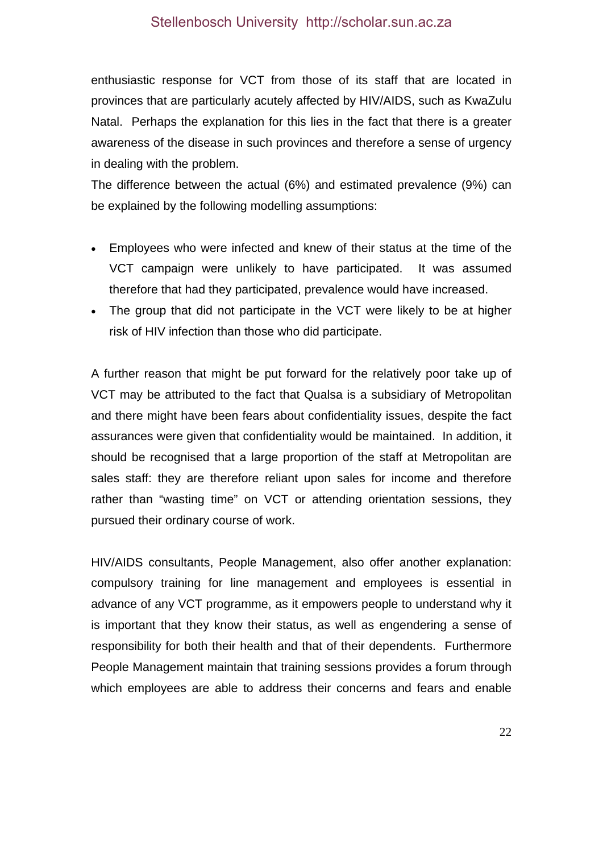enthusiastic response for VCT from those of its staff that are located in provinces that are particularly acutely affected by HIV/AIDS, such as KwaZulu Natal. Perhaps the explanation for this lies in the fact that there is a greater awareness of the disease in such provinces and therefore a sense of urgency in dealing with the problem.

The difference between the actual (6%) and estimated prevalence (9%) can be explained by the following modelling assumptions:

- Employees who were infected and knew of their status at the time of the VCT campaign were unlikely to have participated. It was assumed therefore that had they participated, prevalence would have increased.
- The group that did not participate in the VCT were likely to be at higher risk of HIV infection than those who did participate.

A further reason that might be put forward for the relatively poor take up of VCT may be attributed to the fact that Qualsa is a subsidiary of Metropolitan and there might have been fears about confidentiality issues, despite the fact assurances were given that confidentiality would be maintained. In addition, it should be recognised that a large proportion of the staff at Metropolitan are sales staff: they are therefore reliant upon sales for income and therefore rather than "wasting time" on VCT or attending orientation sessions, they pursued their ordinary course of work.

HIV/AIDS consultants, People Management, also offer another explanation: compulsory training for line management and employees is essential in advance of any VCT programme, as it empowers people to understand why it is important that they know their status, as well as engendering a sense of responsibility for both their health and that of their dependents. Furthermore People Management maintain that training sessions provides a forum through which employees are able to address their concerns and fears and enable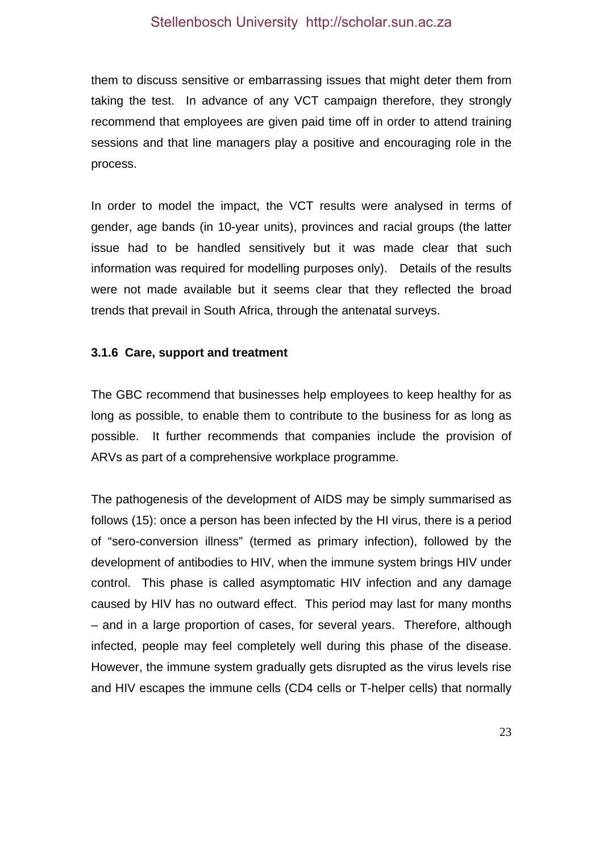them to discuss sensitive or embarrassing issues that might deter them from taking the test. In advance of any VCT campaign therefore, they strongly recommend that employees are given paid time off in order to attend training sessions and that line managers play a positive and encouraging role in the process.

In order to model the impact, the VCT results were analysed in terms of gender, age bands (in 10-year units), provinces and racial groups (the latter issue had to be handled sensitively but it was made clear that such information was required for modelling purposes only). Details of the results were not made available but it seems clear that they reflected the broad trends that prevail in South Africa, through the antenatal surveys.

#### **3.1.6 Care, support and treatment**

The GBC recommend that businesses help employees to keep healthy for as long as possible, to enable them to contribute to the business for as long as possible. It further recommends that companies include the provision of ARVs as part of a comprehensive workplace programme.

The pathogenesis of the development of AIDS may be simply summarised as follows (15): once a person has been infected by the HI virus, there is a period of "sero-conversion illness" (termed as primary infection), followed by the development of antibodies to HIV, when the immune system brings HIV under control. This phase is called asymptomatic HIV infection and any damage caused by HIV has no outward effect. This period may last for many months – and in a large proportion of cases, for several years. Therefore, although infected, people may feel completely well during this phase of the disease. However, the immune system gradually gets disrupted as the virus levels rise and HIV escapes the immune cells (CD4 cells or T-helper cells) that normally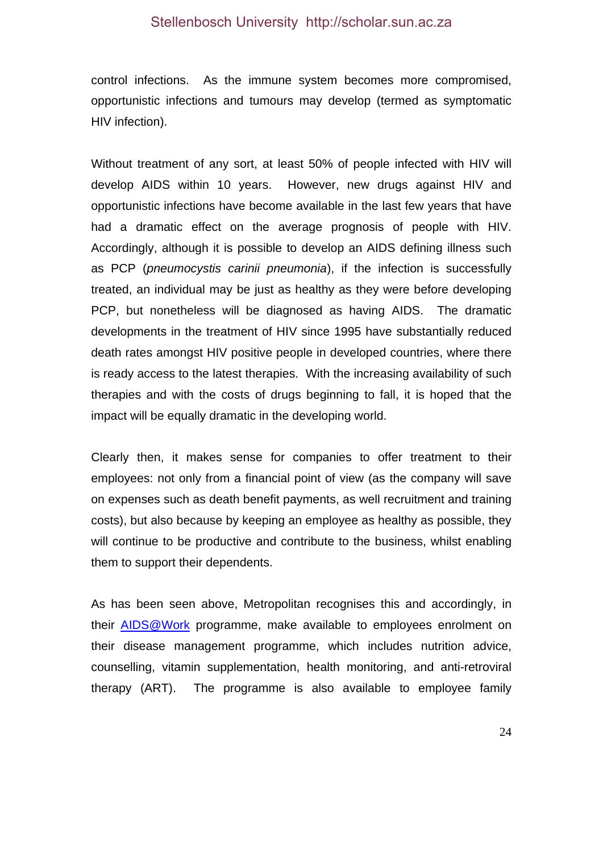control infections. As the immune system becomes more compromised, opportunistic infections and tumours may develop (termed as symptomatic HIV infection).

Without treatment of any sort, at least 50% of people infected with HIV will develop AIDS within 10 years. However, new drugs against HIV and opportunistic infections have become available in the last few years that have had a dramatic effect on the average prognosis of people with HIV. Accordingly, although it is possible to develop an AIDS defining illness such as PCP (*pneumocystis carinii pneumonia*), if the infection is successfully treated, an individual may be just as healthy as they were before developing PCP, but nonetheless will be diagnosed as having AIDS. The dramatic developments in the treatment of HIV since 1995 have substantially reduced death rates amongst HIV positive people in developed countries, where there is ready access to the latest therapies. With the increasing availability of such therapies and with the costs of drugs beginning to fall, it is hoped that the impact will be equally dramatic in the developing world.

Clearly then, it makes sense for companies to offer treatment to their employees: not only from a financial point of view (as the company will save on expenses such as death benefit payments, as well recruitment and training costs), but also because by keeping an employee as healthy as possible, they will continue to be productive and contribute to the business, whilst enabling them to support their dependents.

As has been seen above, Metropolitan recognises this and accordingly, in their **AIDS@Work** programme, make available to employees enrolment on their disease management programme, which includes nutrition advice, counselling, vitamin supplementation, health monitoring, and anti-retroviral therapy (ART). The programme is also available to employee family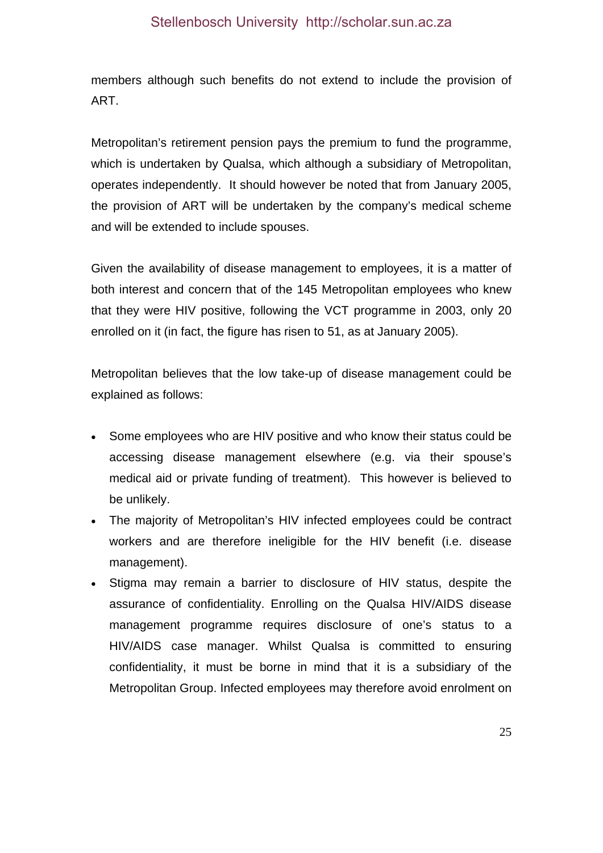members although such benefits do not extend to include the provision of ART.

Metropolitan's retirement pension pays the premium to fund the programme, which is undertaken by Qualsa, which although a subsidiary of Metropolitan, operates independently. It should however be noted that from January 2005, the provision of ART will be undertaken by the company's medical scheme and will be extended to include spouses.

Given the availability of disease management to employees, it is a matter of both interest and concern that of the 145 Metropolitan employees who knew that they were HIV positive, following the VCT programme in 2003, only 20 enrolled on it (in fact, the figure has risen to 51, as at January 2005).

Metropolitan believes that the low take-up of disease management could be explained as follows:

- Some employees who are HIV positive and who know their status could be accessing disease management elsewhere (e.g. via their spouse's medical aid or private funding of treatment). This however is believed to be unlikely.
- The majority of Metropolitan's HIV infected employees could be contract workers and are therefore ineligible for the HIV benefit (i.e. disease management).
- Stigma may remain a barrier to disclosure of HIV status, despite the assurance of confidentiality. Enrolling on the Qualsa HIV/AIDS disease management programme requires disclosure of one's status to a HIV/AIDS case manager. Whilst Qualsa is committed to ensuring confidentiality, it must be borne in mind that it is a subsidiary of the Metropolitan Group. Infected employees may therefore avoid enrolment on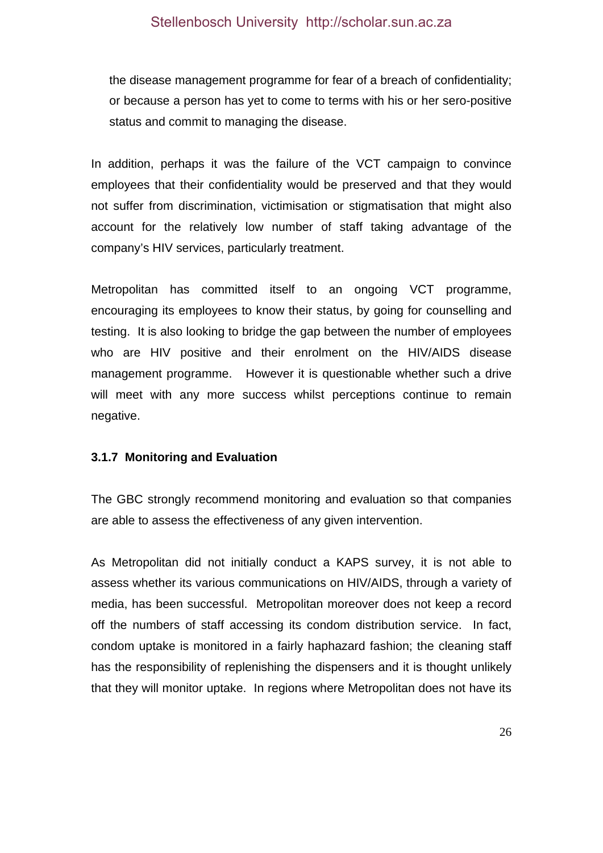the disease management programme for fear of a breach of confidentiality; or because a person has yet to come to terms with his or her sero-positive status and commit to managing the disease.

In addition, perhaps it was the failure of the VCT campaign to convince employees that their confidentiality would be preserved and that they would not suffer from discrimination, victimisation or stigmatisation that might also account for the relatively low number of staff taking advantage of the company's HIV services, particularly treatment.

Metropolitan has committed itself to an ongoing VCT programme, encouraging its employees to know their status, by going for counselling and testing. It is also looking to bridge the gap between the number of employees who are HIV positive and their enrolment on the HIV/AIDS disease management programme. However it is questionable whether such a drive will meet with any more success whilst perceptions continue to remain negative.

#### **3.1.7 Monitoring and Evaluation**

The GBC strongly recommend monitoring and evaluation so that companies are able to assess the effectiveness of any given intervention.

As Metropolitan did not initially conduct a KAPS survey, it is not able to assess whether its various communications on HIV/AIDS, through a variety of media, has been successful. Metropolitan moreover does not keep a record off the numbers of staff accessing its condom distribution service. In fact, condom uptake is monitored in a fairly haphazard fashion; the cleaning staff has the responsibility of replenishing the dispensers and it is thought unlikely that they will monitor uptake. In regions where Metropolitan does not have its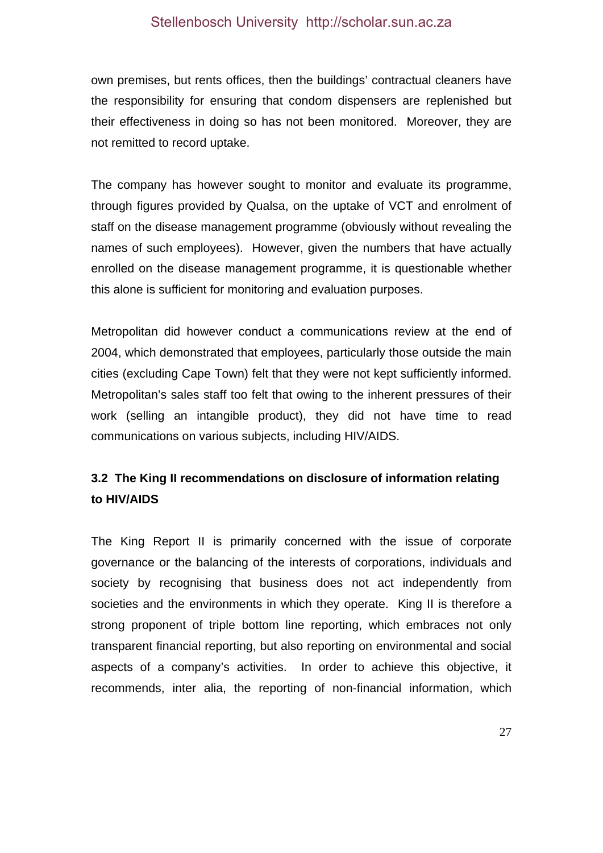own premises, but rents offices, then the buildings' contractual cleaners have the responsibility for ensuring that condom dispensers are replenished but their effectiveness in doing so has not been monitored. Moreover, they are not remitted to record uptake.

The company has however sought to monitor and evaluate its programme, through figures provided by Qualsa, on the uptake of VCT and enrolment of staff on the disease management programme (obviously without revealing the names of such employees). However, given the numbers that have actually enrolled on the disease management programme, it is questionable whether this alone is sufficient for monitoring and evaluation purposes.

Metropolitan did however conduct a communications review at the end of 2004, which demonstrated that employees, particularly those outside the main cities (excluding Cape Town) felt that they were not kept sufficiently informed. Metropolitan's sales staff too felt that owing to the inherent pressures of their work (selling an intangible product), they did not have time to read communications on various subjects, including HIV/AIDS.

# **3.2 The King II recommendations on disclosure of information relating to HIV/AIDS**

The King Report II is primarily concerned with the issue of corporate governance or the balancing of the interests of corporations, individuals and society by recognising that business does not act independently from societies and the environments in which they operate. King II is therefore a strong proponent of triple bottom line reporting, which embraces not only transparent financial reporting, but also reporting on environmental and social aspects of a company's activities. In order to achieve this objective, it recommends, inter alia, the reporting of non-financial information, which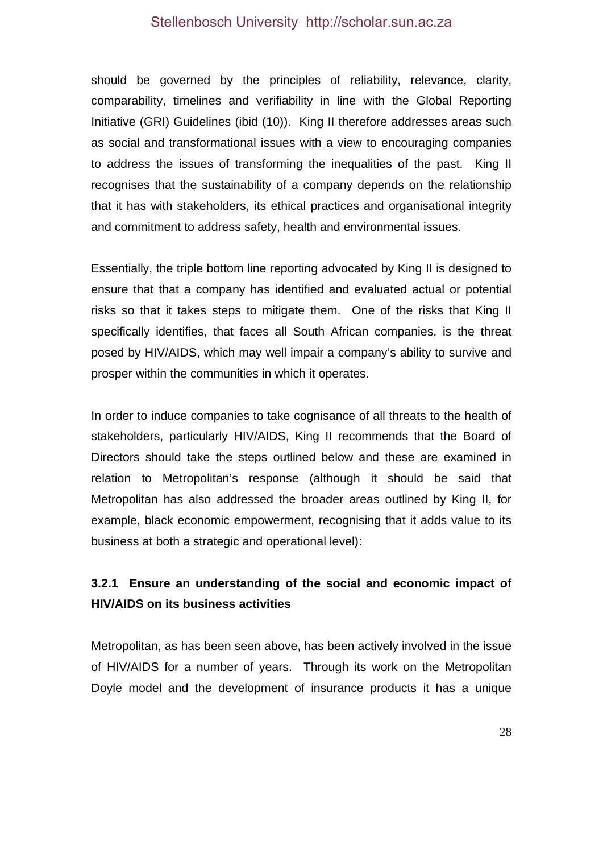should be governed by the principles of reliability, relevance, clarity, comparability, timelines and verifiability in line with the Global Reporting Initiative (GRI) Guidelines (ibid (10)). King II therefore addresses areas such as social and transformational issues with a view to encouraging companies to address the issues of transforming the inequalities of the past. King II recognises that the sustainability of a company depends on the relationship that it has with stakeholders, its ethical practices and organisational integrity and commitment to address safety, health and environmental issues.

Essentially, the triple bottom line reporting advocated by King II is designed to ensure that that a company has identified and evaluated actual or potential risks so that it takes steps to mitigate them. One of the risks that King II specifically identifies, that faces all South African companies, is the threat posed by HIV/AIDS, which may well impair a company's ability to survive and prosper within the communities in which it operates.

In order to induce companies to take cognisance of all threats to the health of stakeholders, particularly HIV/AIDS, King II recommends that the Board of Directors should take the steps outlined below and these are examined in relation to Metropolitan's response (although it should be said that Metropolitan has also addressed the broader areas outlined by King II, for example, black economic empowerment, recognising that it adds value to its business at both a strategic and operational level):

# **3.2.1 Ensure an understanding of the social and economic impact of HIV/AIDS on its business activities**

Metropolitan, as has been seen above, has been actively involved in the issue of HIV/AIDS for a number of years. Through its work on the Metropolitan Doyle model and the development of insurance products it has a unique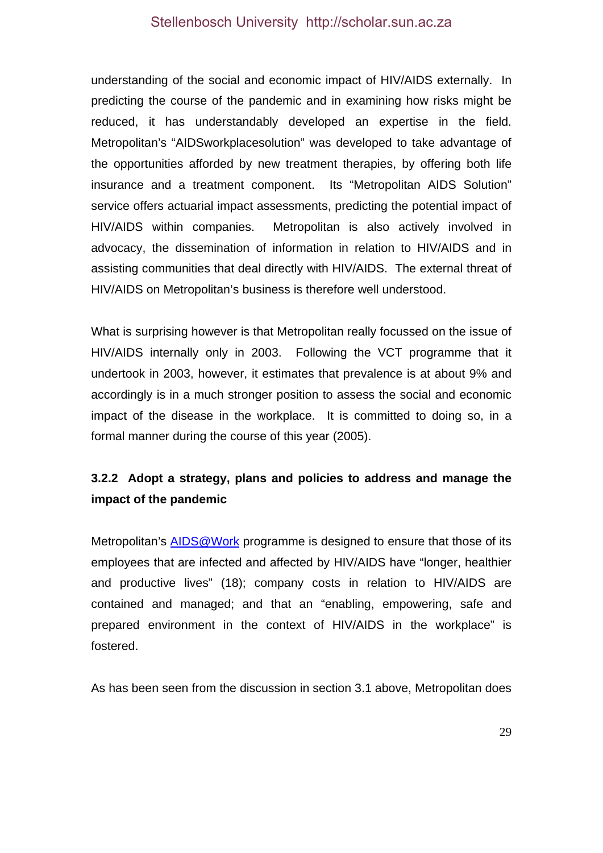understanding of the social and economic impact of HIV/AIDS externally. In predicting the course of the pandemic and in examining how risks might be reduced, it has understandably developed an expertise in the field. Metropolitan's "AIDSworkplacesolution" was developed to take advantage of the opportunities afforded by new treatment therapies, by offering both life insurance and a treatment component. Its "Metropolitan AIDS Solution" service offers actuarial impact assessments, predicting the potential impact of HIV/AIDS within companies. Metropolitan is also actively involved in advocacy, the dissemination of information in relation to HIV/AIDS and in assisting communities that deal directly with HIV/AIDS. The external threat of HIV/AIDS on Metropolitan's business is therefore well understood.

What is surprising however is that Metropolitan really focussed on the issue of HIV/AIDS internally only in 2003. Following the VCT programme that it undertook in 2003, however, it estimates that prevalence is at about 9% and accordingly is in a much stronger position to assess the social and economic impact of the disease in the workplace. It is committed to doing so, in a formal manner during the course of this year (2005).

# **3.2.2 Adopt a strategy, plans and policies to address and manage the impact of the pandemic**

Metropolitan's AIDS@Work programme is designed to ensure that those of its employees that are infected and affected by HIV/AIDS have "longer, healthier and productive lives" (18); company costs in relation to HIV/AIDS are contained and managed; and that an "enabling, empowering, safe and prepared environment in the context of HIV/AIDS in the workplace" is fostered.

As has been seen from the discussion in section 3.1 above, Metropolitan does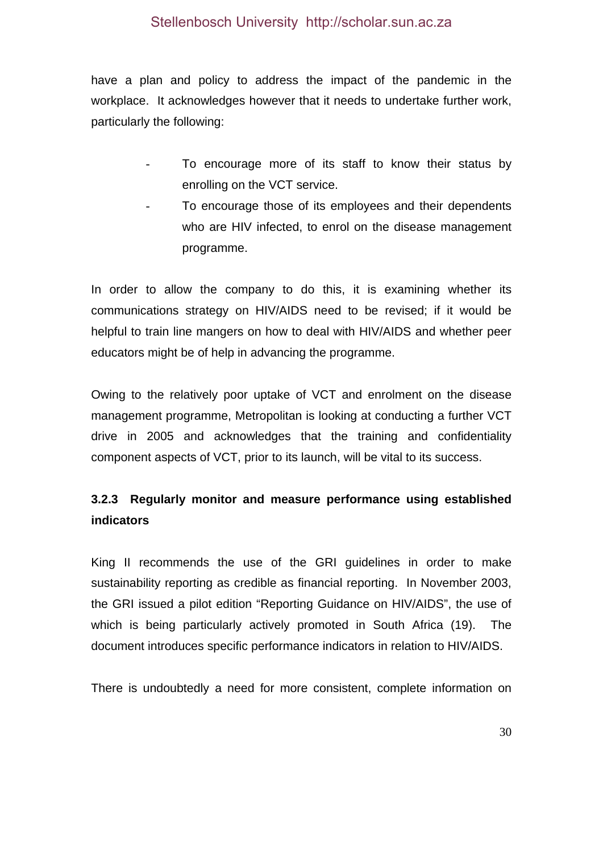have a plan and policy to address the impact of the pandemic in the workplace. It acknowledges however that it needs to undertake further work, particularly the following:

- To encourage more of its staff to know their status by enrolling on the VCT service.
- To encourage those of its employees and their dependents who are HIV infected, to enrol on the disease management programme.

In order to allow the company to do this, it is examining whether its communications strategy on HIV/AIDS need to be revised; if it would be helpful to train line mangers on how to deal with HIV/AIDS and whether peer educators might be of help in advancing the programme.

Owing to the relatively poor uptake of VCT and enrolment on the disease management programme, Metropolitan is looking at conducting a further VCT drive in 2005 and acknowledges that the training and confidentiality component aspects of VCT, prior to its launch, will be vital to its success.

# **3.2.3 Regularly monitor and measure performance using established indicators**

King II recommends the use of the GRI guidelines in order to make sustainability reporting as credible as financial reporting. In November 2003, the GRI issued a pilot edition "Reporting Guidance on HIV/AIDS", the use of which is being particularly actively promoted in South Africa (19). The document introduces specific performance indicators in relation to HIV/AIDS.

There is undoubtedly a need for more consistent, complete information on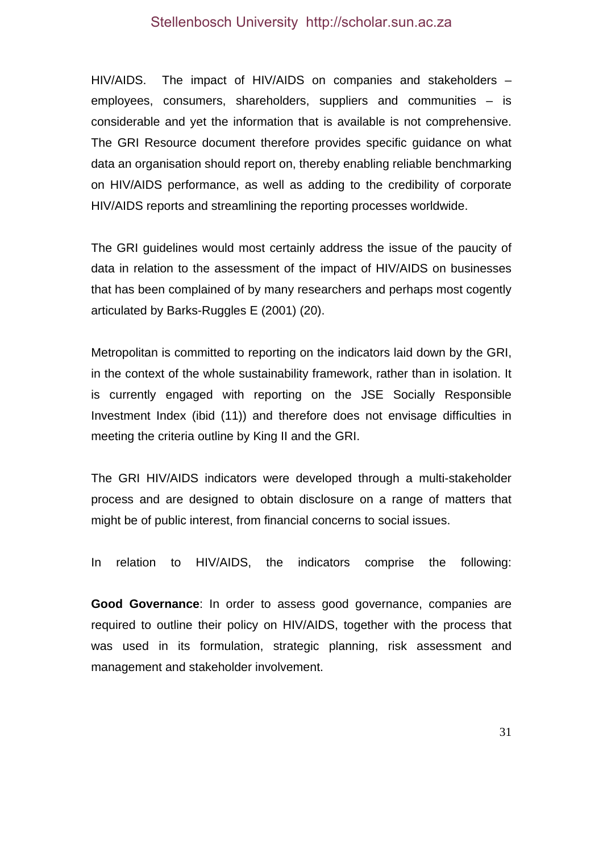HIV/AIDS. The impact of HIV/AIDS on companies and stakeholders – employees, consumers, shareholders, suppliers and communities – is considerable and yet the information that is available is not comprehensive. The GRI Resource document therefore provides specific guidance on what data an organisation should report on, thereby enabling reliable benchmarking on HIV/AIDS performance, as well as adding to the credibility of corporate HIV/AIDS reports and streamlining the reporting processes worldwide.

The GRI guidelines would most certainly address the issue of the paucity of data in relation to the assessment of the impact of HIV/AIDS on businesses that has been complained of by many researchers and perhaps most cogently articulated by Barks-Ruggles E (2001) (20).

Metropolitan is committed to reporting on the indicators laid down by the GRI, in the context of the whole sustainability framework, rather than in isolation. It is currently engaged with reporting on the JSE Socially Responsible Investment Index (ibid (11)) and therefore does not envisage difficulties in meeting the criteria outline by King II and the GRI.

The GRI HIV/AIDS indicators were developed through a multi-stakeholder process and are designed to obtain disclosure on a range of matters that might be of public interest, from financial concerns to social issues.

In relation to HIV/AIDS, the indicators comprise the following:

**Good Governance**: In order to assess good governance, companies are required to outline their policy on HIV/AIDS, together with the process that was used in its formulation, strategic planning, risk assessment and management and stakeholder involvement.

31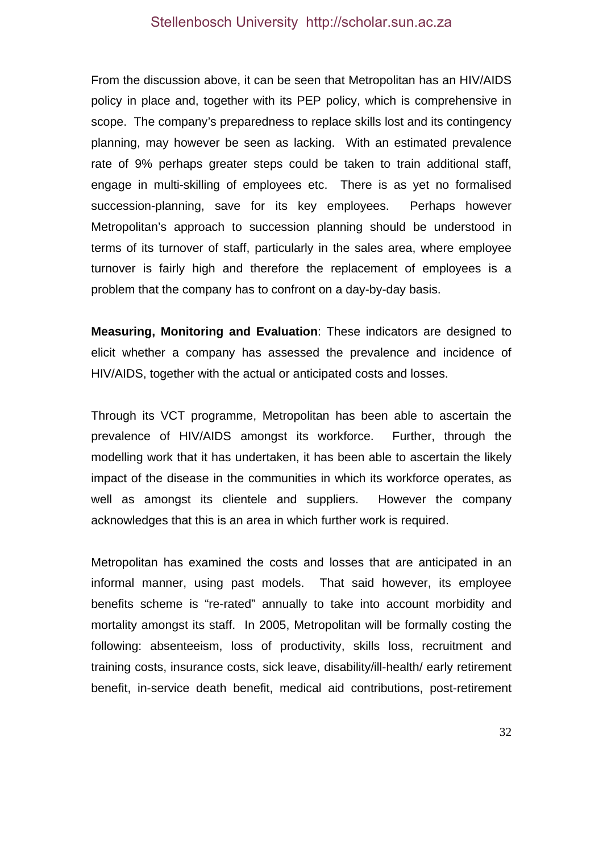From the discussion above, it can be seen that Metropolitan has an HIV/AIDS policy in place and, together with its PEP policy, which is comprehensive in scope. The company's preparedness to replace skills lost and its contingency planning, may however be seen as lacking. With an estimated prevalence rate of 9% perhaps greater steps could be taken to train additional staff, engage in multi-skilling of employees etc. There is as yet no formalised succession-planning, save for its key employees. Perhaps however Metropolitan's approach to succession planning should be understood in terms of its turnover of staff, particularly in the sales area, where employee turnover is fairly high and therefore the replacement of employees is a problem that the company has to confront on a day-by-day basis.

**Measuring, Monitoring and Evaluation**: These indicators are designed to elicit whether a company has assessed the prevalence and incidence of HIV/AIDS, together with the actual or anticipated costs and losses.

Through its VCT programme, Metropolitan has been able to ascertain the prevalence of HIV/AIDS amongst its workforce. Further, through the modelling work that it has undertaken, it has been able to ascertain the likely impact of the disease in the communities in which its workforce operates, as well as amongst its clientele and suppliers. However the company acknowledges that this is an area in which further work is required.

Metropolitan has examined the costs and losses that are anticipated in an informal manner, using past models. That said however, its employee benefits scheme is "re-rated" annually to take into account morbidity and mortality amongst its staff. In 2005, Metropolitan will be formally costing the following: absenteeism, loss of productivity, skills loss, recruitment and training costs, insurance costs, sick leave, disability/ill-health/ early retirement benefit, in-service death benefit, medical aid contributions, post-retirement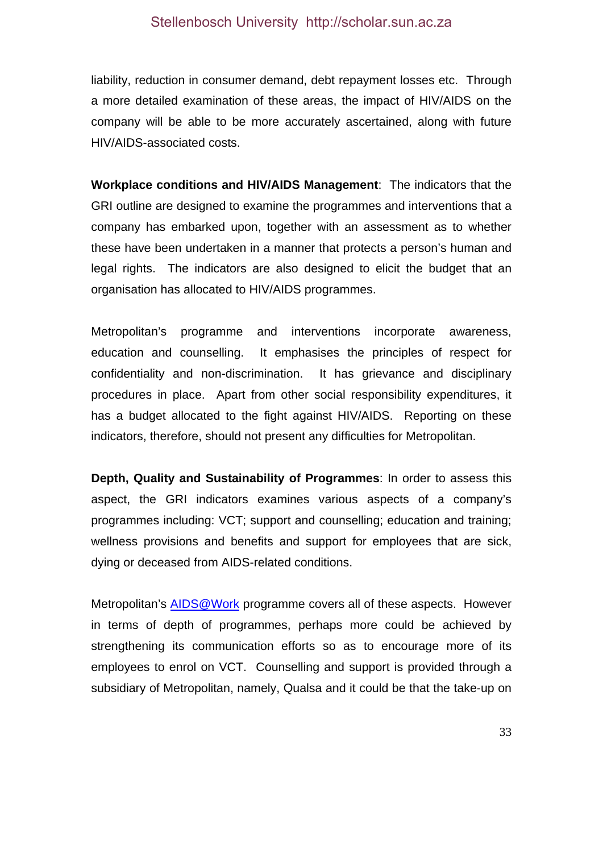liability, reduction in consumer demand, debt repayment losses etc. Through a more detailed examination of these areas, the impact of HIV/AIDS on the company will be able to be more accurately ascertained, along with future HIV/AIDS-associated costs.

**Workplace conditions and HIV/AIDS Management**: The indicators that the GRI outline are designed to examine the programmes and interventions that a company has embarked upon, together with an assessment as to whether these have been undertaken in a manner that protects a person's human and legal rights. The indicators are also designed to elicit the budget that an organisation has allocated to HIV/AIDS programmes.

Metropolitan's programme and interventions incorporate awareness, education and counselling. It emphasises the principles of respect for confidentiality and non-discrimination. It has grievance and disciplinary procedures in place. Apart from other social responsibility expenditures, it has a budget allocated to the fight against HIV/AIDS. Reporting on these indicators, therefore, should not present any difficulties for Metropolitan.

**Depth, Quality and Sustainability of Programmes**: In order to assess this aspect, the GRI indicators examines various aspects of a company's programmes including: VCT; support and counselling; education and training; wellness provisions and benefits and support for employees that are sick, dying or deceased from AIDS-related conditions.

Metropolitan's AIDS@Work programme covers all of these aspects. However in terms of depth of programmes, perhaps more could be achieved by strengthening its communication efforts so as to encourage more of its employees to enrol on VCT. Counselling and support is provided through a subsidiary of Metropolitan, namely, Qualsa and it could be that the take-up on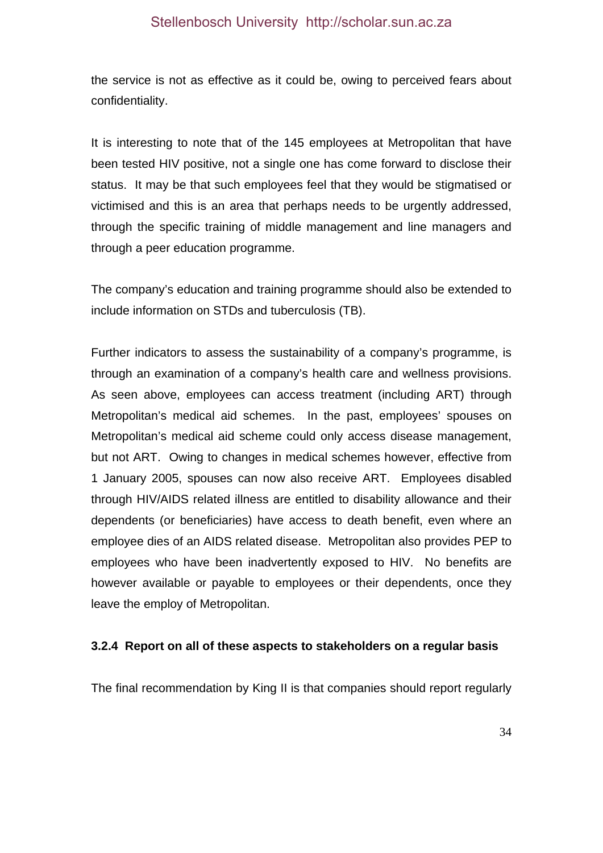the service is not as effective as it could be, owing to perceived fears about confidentiality.

It is interesting to note that of the 145 employees at Metropolitan that have been tested HIV positive, not a single one has come forward to disclose their status. It may be that such employees feel that they would be stigmatised or victimised and this is an area that perhaps needs to be urgently addressed, through the specific training of middle management and line managers and through a peer education programme.

The company's education and training programme should also be extended to include information on STDs and tuberculosis (TB).

Further indicators to assess the sustainability of a company's programme, is through an examination of a company's health care and wellness provisions. As seen above, employees can access treatment (including ART) through Metropolitan's medical aid schemes. In the past, employees' spouses on Metropolitan's medical aid scheme could only access disease management, but not ART. Owing to changes in medical schemes however, effective from 1 January 2005, spouses can now also receive ART. Employees disabled through HIV/AIDS related illness are entitled to disability allowance and their dependents (or beneficiaries) have access to death benefit, even where an employee dies of an AIDS related disease. Metropolitan also provides PEP to employees who have been inadvertently exposed to HIV. No benefits are however available or payable to employees or their dependents, once they leave the employ of Metropolitan.

#### **3.2.4 Report on all of these aspects to stakeholders on a regular basis**

The final recommendation by King II is that companies should report regularly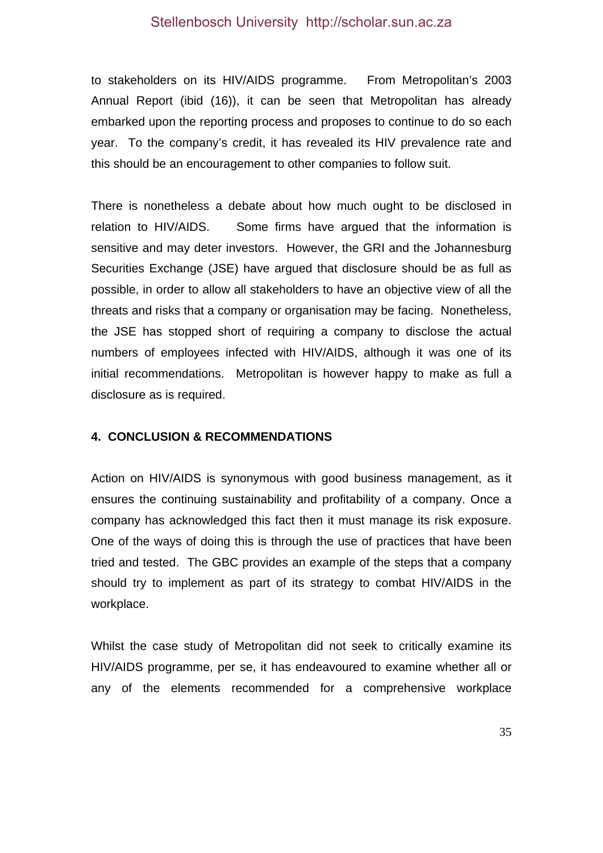to stakeholders on its HIV/AIDS programme. From Metropolitan's 2003 Annual Report (ibid (16)), it can be seen that Metropolitan has already embarked upon the reporting process and proposes to continue to do so each year. To the company's credit, it has revealed its HIV prevalence rate and this should be an encouragement to other companies to follow suit.

There is nonetheless a debate about how much ought to be disclosed in relation to HIV/AIDS. Some firms have argued that the information is sensitive and may deter investors. However, the GRI and the Johannesburg Securities Exchange (JSE) have argued that disclosure should be as full as possible, in order to allow all stakeholders to have an objective view of all the threats and risks that a company or organisation may be facing. Nonetheless, the JSE has stopped short of requiring a company to disclose the actual numbers of employees infected with HIV/AIDS, although it was one of its initial recommendations. Metropolitan is however happy to make as full a disclosure as is required.

#### **4. CONCLUSION & RECOMMENDATIONS**

Action on HIV/AIDS is synonymous with good business management, as it ensures the continuing sustainability and profitability of a company. Once a company has acknowledged this fact then it must manage its risk exposure. One of the ways of doing this is through the use of practices that have been tried and tested. The GBC provides an example of the steps that a company should try to implement as part of its strategy to combat HIV/AIDS in the workplace.

Whilst the case study of Metropolitan did not seek to critically examine its HIV/AIDS programme, per se, it has endeavoured to examine whether all or any of the elements recommended for a comprehensive workplace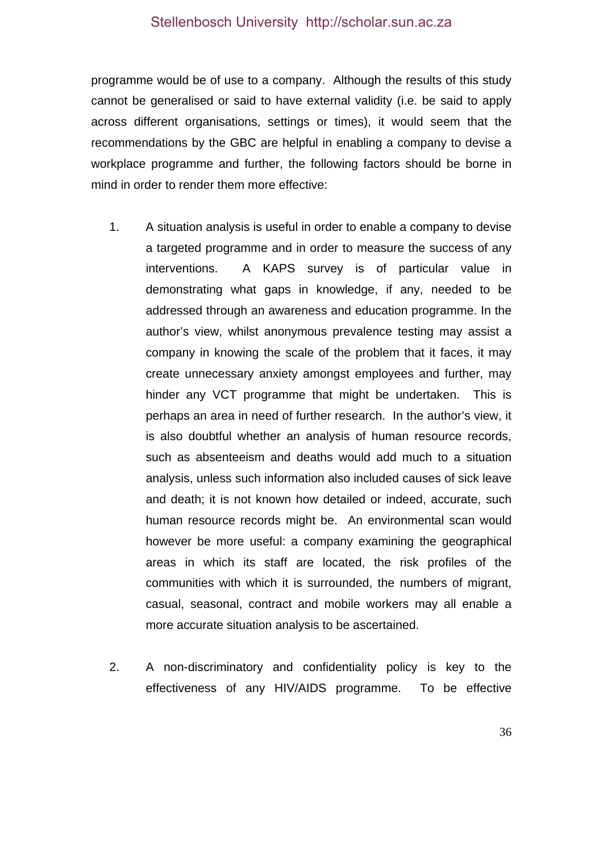programme would be of use to a company. Although the results of this study cannot be generalised or said to have external validity (i.e. be said to apply across different organisations, settings or times), it would seem that the recommendations by the GBC are helpful in enabling a company to devise a workplace programme and further, the following factors should be borne in mind in order to render them more effective:

- 1. A situation analysis is useful in order to enable a company to devise a targeted programme and in order to measure the success of any interventions. A KAPS survey is of particular value in demonstrating what gaps in knowledge, if any, needed to be addressed through an awareness and education programme. In the author's view, whilst anonymous prevalence testing may assist a company in knowing the scale of the problem that it faces, it may create unnecessary anxiety amongst employees and further, may hinder any VCT programme that might be undertaken. This is perhaps an area in need of further research. In the author's view, it is also doubtful whether an analysis of human resource records, such as absenteeism and deaths would add much to a situation analysis, unless such information also included causes of sick leave and death; it is not known how detailed or indeed, accurate, such human resource records might be. An environmental scan would however be more useful: a company examining the geographical areas in which its staff are located, the risk profiles of the communities with which it is surrounded, the numbers of migrant, casual, seasonal, contract and mobile workers may all enable a more accurate situation analysis to be ascertained.
- 2. A non-discriminatory and confidentiality policy is key to the effectiveness of any HIV/AIDS programme. To be effective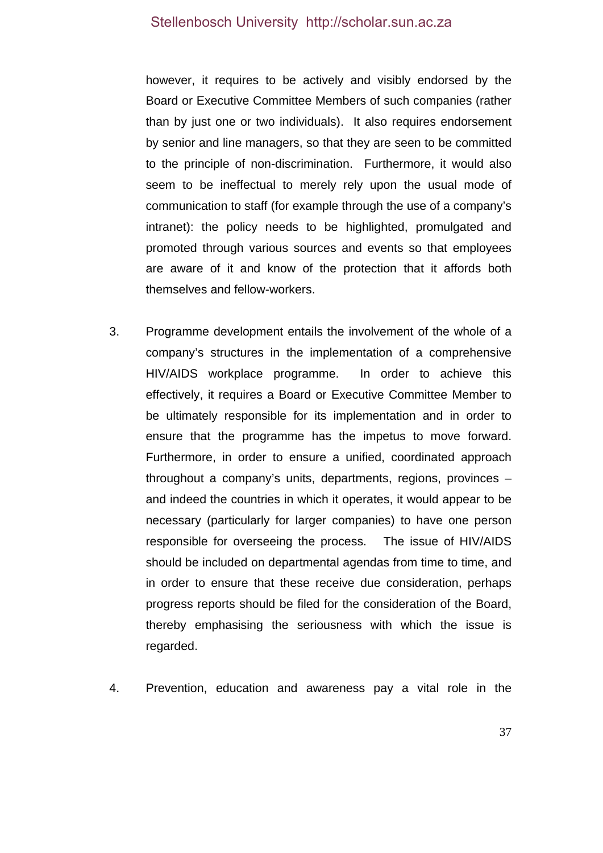however, it requires to be actively and visibly endorsed by the Board or Executive Committee Members of such companies (rather than by just one or two individuals). It also requires endorsement by senior and line managers, so that they are seen to be committed to the principle of non-discrimination. Furthermore, it would also seem to be ineffectual to merely rely upon the usual mode of communication to staff (for example through the use of a company's intranet): the policy needs to be highlighted, promulgated and promoted through various sources and events so that employees are aware of it and know of the protection that it affords both themselves and fellow-workers.

- 3. Programme development entails the involvement of the whole of a company's structures in the implementation of a comprehensive HIV/AIDS workplace programme. In order to achieve this effectively, it requires a Board or Executive Committee Member to be ultimately responsible for its implementation and in order to ensure that the programme has the impetus to move forward. Furthermore, in order to ensure a unified, coordinated approach throughout a company's units, departments, regions, provinces – and indeed the countries in which it operates, it would appear to be necessary (particularly for larger companies) to have one person responsible for overseeing the process. The issue of HIV/AIDS should be included on departmental agendas from time to time, and in order to ensure that these receive due consideration, perhaps progress reports should be filed for the consideration of the Board, thereby emphasising the seriousness with which the issue is regarded.
- 4. Prevention, education and awareness pay a vital role in the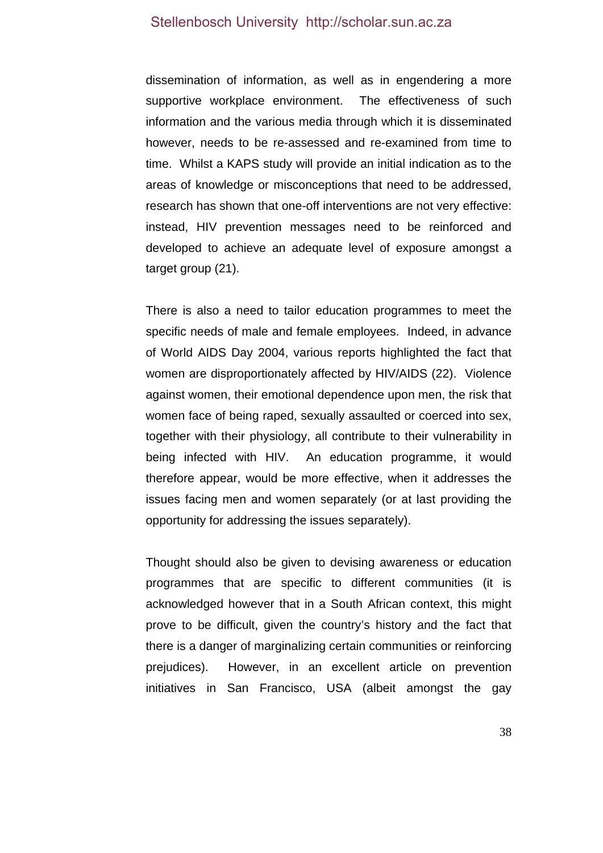dissemination of information, as well as in engendering a more supportive workplace environment. The effectiveness of such information and the various media through which it is disseminated however, needs to be re-assessed and re-examined from time to time. Whilst a KAPS study will provide an initial indication as to the areas of knowledge or misconceptions that need to be addressed, research has shown that one-off interventions are not very effective: instead, HIV prevention messages need to be reinforced and developed to achieve an adequate level of exposure amongst a target group (21).

There is also a need to tailor education programmes to meet the specific needs of male and female employees. Indeed, in advance of World AIDS Day 2004, various reports highlighted the fact that women are disproportionately affected by HIV/AIDS (22). Violence against women, their emotional dependence upon men, the risk that women face of being raped, sexually assaulted or coerced into sex, together with their physiology, all contribute to their vulnerability in being infected with HIV. An education programme, it would therefore appear, would be more effective, when it addresses the issues facing men and women separately (or at last providing the opportunity for addressing the issues separately).

Thought should also be given to devising awareness or education programmes that are specific to different communities (it is acknowledged however that in a South African context, this might prove to be difficult, given the country's history and the fact that there is a danger of marginalizing certain communities or reinforcing prejudices). However, in an excellent article on prevention initiatives in San Francisco, USA (albeit amongst the gay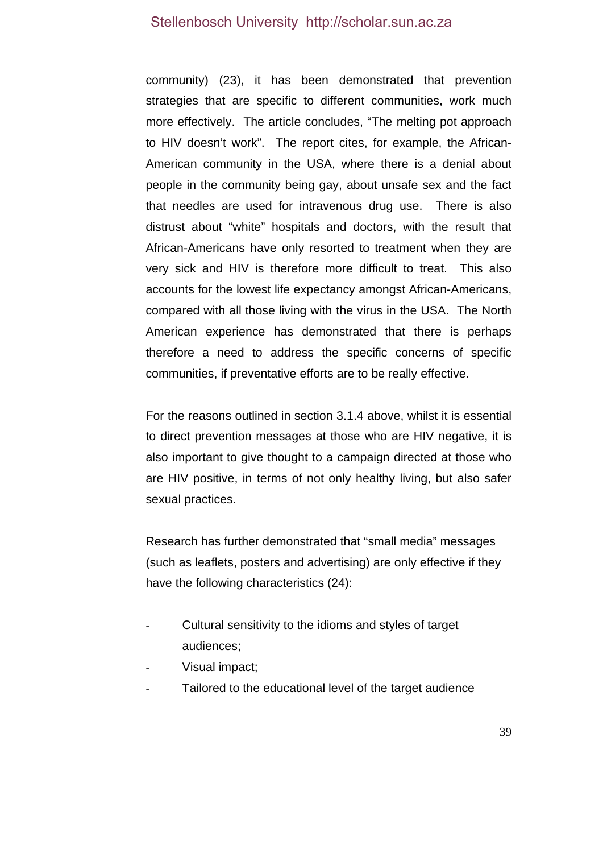community) (23), it has been demonstrated that prevention strategies that are specific to different communities, work much more effectively. The article concludes, "The melting pot approach to HIV doesn't work". The report cites, for example, the African-American community in the USA, where there is a denial about people in the community being gay, about unsafe sex and the fact that needles are used for intravenous drug use. There is also distrust about "white" hospitals and doctors, with the result that African-Americans have only resorted to treatment when they are very sick and HIV is therefore more difficult to treat. This also accounts for the lowest life expectancy amongst African-Americans, compared with all those living with the virus in the USA. The North American experience has demonstrated that there is perhaps therefore a need to address the specific concerns of specific communities, if preventative efforts are to be really effective.

For the reasons outlined in section 3.1.4 above, whilst it is essential to direct prevention messages at those who are HIV negative, it is also important to give thought to a campaign directed at those who are HIV positive, in terms of not only healthy living, but also safer sexual practices.

Research has further demonstrated that "small media" messages (such as leaflets, posters and advertising) are only effective if they have the following characteristics (24):

- Cultural sensitivity to the idioms and styles of target audiences;
- Visual impact;
- Tailored to the educational level of the target audience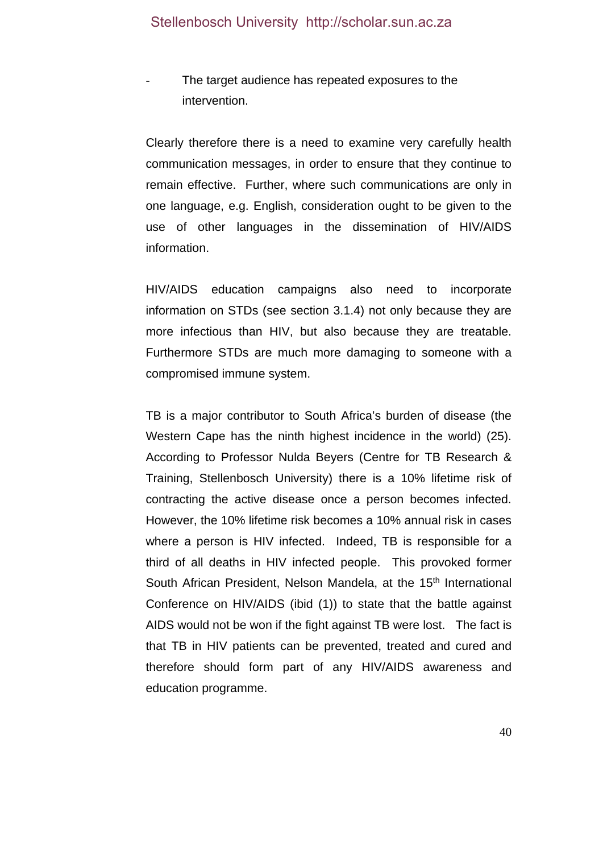The target audience has repeated exposures to the intervention.

Clearly therefore there is a need to examine very carefully health communication messages, in order to ensure that they continue to remain effective. Further, where such communications are only in one language, e.g. English, consideration ought to be given to the use of other languages in the dissemination of HIV/AIDS information.

HIV/AIDS education campaigns also need to incorporate information on STDs (see section 3.1.4) not only because they are more infectious than HIV, but also because they are treatable. Furthermore STDs are much more damaging to someone with a compromised immune system.

TB is a major contributor to South Africa's burden of disease (the Western Cape has the ninth highest incidence in the world) (25). According to Professor Nulda Beyers (Centre for TB Research & Training, Stellenbosch University) there is a 10% lifetime risk of contracting the active disease once a person becomes infected. However, the 10% lifetime risk becomes a 10% annual risk in cases where a person is HIV infected. Indeed, TB is responsible for a third of all deaths in HIV infected people. This provoked former South African President, Nelson Mandela, at the 15<sup>th</sup> International Conference on HIV/AIDS (ibid (1)) to state that the battle against AIDS would not be won if the fight against TB were lost. The fact is that TB in HIV patients can be prevented, treated and cured and therefore should form part of any HIV/AIDS awareness and education programme.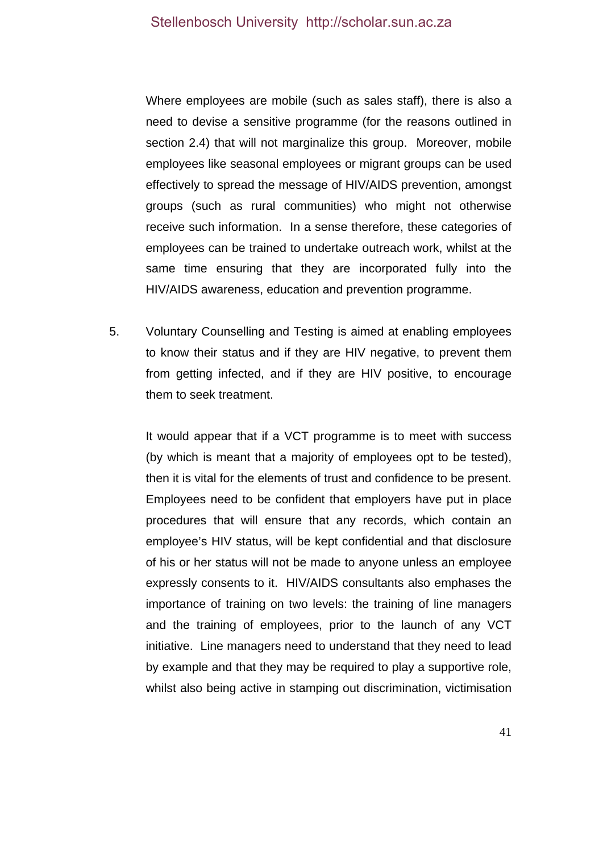Where employees are mobile (such as sales staff), there is also a need to devise a sensitive programme (for the reasons outlined in section 2.4) that will not marginalize this group. Moreover, mobile employees like seasonal employees or migrant groups can be used effectively to spread the message of HIV/AIDS prevention, amongst groups (such as rural communities) who might not otherwise receive such information. In a sense therefore, these categories of employees can be trained to undertake outreach work, whilst at the same time ensuring that they are incorporated fully into the HIV/AIDS awareness, education and prevention programme.

5. Voluntary Counselling and Testing is aimed at enabling employees to know their status and if they are HIV negative, to prevent them from getting infected, and if they are HIV positive, to encourage them to seek treatment.

It would appear that if a VCT programme is to meet with success (by which is meant that a majority of employees opt to be tested), then it is vital for the elements of trust and confidence to be present. Employees need to be confident that employers have put in place procedures that will ensure that any records, which contain an employee's HIV status, will be kept confidential and that disclosure of his or her status will not be made to anyone unless an employee expressly consents to it. HIV/AIDS consultants also emphases the importance of training on two levels: the training of line managers and the training of employees, prior to the launch of any VCT initiative. Line managers need to understand that they need to lead by example and that they may be required to play a supportive role, whilst also being active in stamping out discrimination, victimisation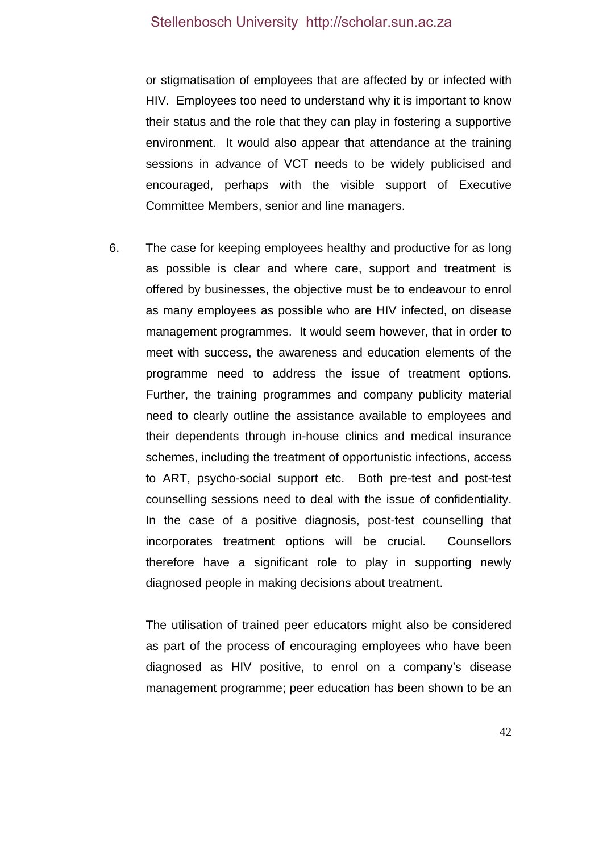or stigmatisation of employees that are affected by or infected with HIV. Employees too need to understand why it is important to know their status and the role that they can play in fostering a supportive environment. It would also appear that attendance at the training sessions in advance of VCT needs to be widely publicised and encouraged, perhaps with the visible support of Executive Committee Members, senior and line managers.

6. The case for keeping employees healthy and productive for as long as possible is clear and where care, support and treatment is offered by businesses, the objective must be to endeavour to enrol as many employees as possible who are HIV infected, on disease management programmes. It would seem however, that in order to meet with success, the awareness and education elements of the programme need to address the issue of treatment options. Further, the training programmes and company publicity material need to clearly outline the assistance available to employees and their dependents through in-house clinics and medical insurance schemes, including the treatment of opportunistic infections, access to ART, psycho-social support etc. Both pre-test and post-test counselling sessions need to deal with the issue of confidentiality. In the case of a positive diagnosis, post-test counselling that incorporates treatment options will be crucial. Counsellors therefore have a significant role to play in supporting newly diagnosed people in making decisions about treatment.

The utilisation of trained peer educators might also be considered as part of the process of encouraging employees who have been diagnosed as HIV positive, to enrol on a company's disease management programme; peer education has been shown to be an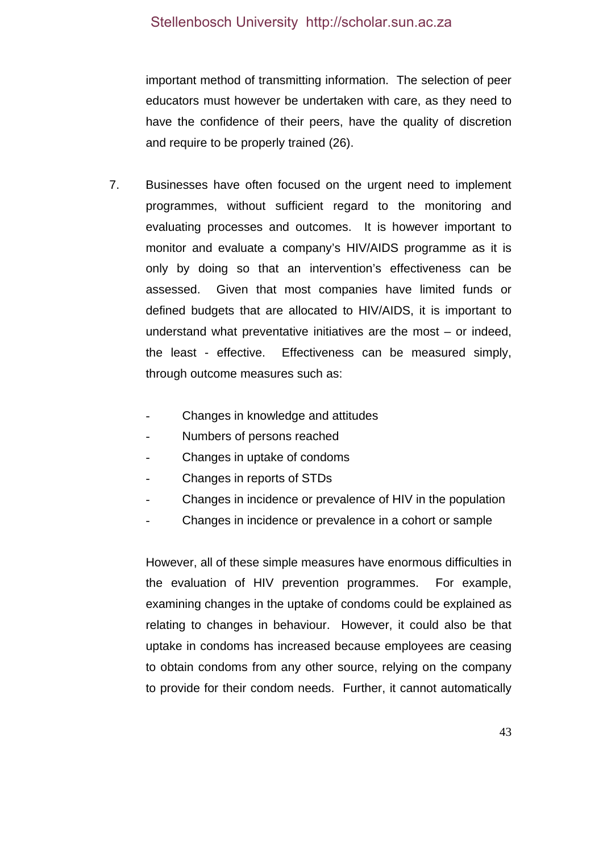important method of transmitting information. The selection of peer educators must however be undertaken with care, as they need to have the confidence of their peers, have the quality of discretion and require to be properly trained (26).

- 7. Businesses have often focused on the urgent need to implement programmes, without sufficient regard to the monitoring and evaluating processes and outcomes. It is however important to monitor and evaluate a company's HIV/AIDS programme as it is only by doing so that an intervention's effectiveness can be assessed. Given that most companies have limited funds or defined budgets that are allocated to HIV/AIDS, it is important to understand what preventative initiatives are the most – or indeed, the least - effective. Effectiveness can be measured simply, through outcome measures such as:
	- Changes in knowledge and attitudes
	- Numbers of persons reached
	- Changes in uptake of condoms
	- Changes in reports of STDs
	- Changes in incidence or prevalence of HIV in the population
	- Changes in incidence or prevalence in a cohort or sample

However, all of these simple measures have enormous difficulties in the evaluation of HIV prevention programmes. For example, examining changes in the uptake of condoms could be explained as relating to changes in behaviour. However, it could also be that uptake in condoms has increased because employees are ceasing to obtain condoms from any other source, relying on the company to provide for their condom needs. Further, it cannot automatically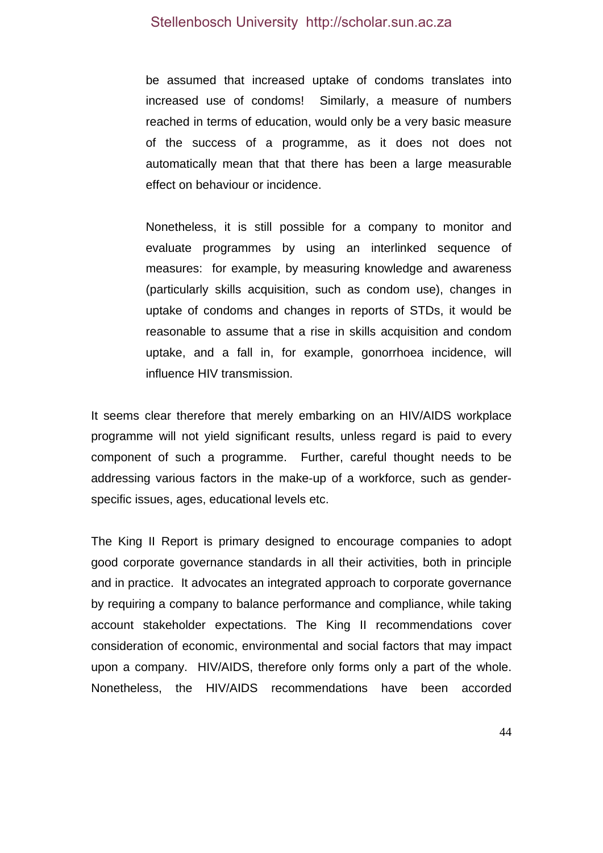be assumed that increased uptake of condoms translates into increased use of condoms! Similarly, a measure of numbers reached in terms of education, would only be a very basic measure of the success of a programme, as it does not does not automatically mean that that there has been a large measurable effect on behaviour or incidence.

Nonetheless, it is still possible for a company to monitor and evaluate programmes by using an interlinked sequence of measures: for example, by measuring knowledge and awareness (particularly skills acquisition, such as condom use), changes in uptake of condoms and changes in reports of STDs, it would be reasonable to assume that a rise in skills acquisition and condom uptake, and a fall in, for example, gonorrhoea incidence, will influence HIV transmission.

It seems clear therefore that merely embarking on an HIV/AIDS workplace programme will not yield significant results, unless regard is paid to every component of such a programme. Further, careful thought needs to be addressing various factors in the make-up of a workforce, such as genderspecific issues, ages, educational levels etc.

The King II Report is primary designed to encourage companies to adopt good corporate governance standards in all their activities, both in principle and in practice. It advocates an integrated approach to corporate governance by requiring a company to balance performance and compliance, while taking account stakeholder expectations. The King II recommendations cover consideration of economic, environmental and social factors that may impact upon a company. HIV/AIDS, therefore only forms only a part of the whole. Nonetheless, the HIV/AIDS recommendations have been accorded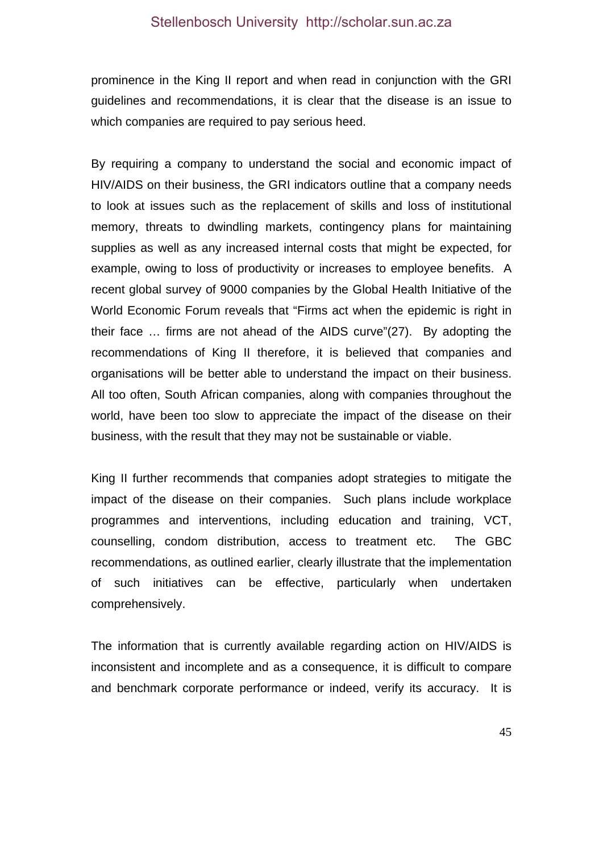prominence in the King II report and when read in conjunction with the GRI guidelines and recommendations, it is clear that the disease is an issue to which companies are required to pay serious heed.

By requiring a company to understand the social and economic impact of HIV/AIDS on their business, the GRI indicators outline that a company needs to look at issues such as the replacement of skills and loss of institutional memory, threats to dwindling markets, contingency plans for maintaining supplies as well as any increased internal costs that might be expected, for example, owing to loss of productivity or increases to employee benefits. A recent global survey of 9000 companies by the Global Health Initiative of the World Economic Forum reveals that "Firms act when the epidemic is right in their face … firms are not ahead of the AIDS curve"(27). By adopting the recommendations of King II therefore, it is believed that companies and organisations will be better able to understand the impact on their business. All too often, South African companies, along with companies throughout the world, have been too slow to appreciate the impact of the disease on their business, with the result that they may not be sustainable or viable.

King II further recommends that companies adopt strategies to mitigate the impact of the disease on their companies. Such plans include workplace programmes and interventions, including education and training, VCT, counselling, condom distribution, access to treatment etc. The GBC recommendations, as outlined earlier, clearly illustrate that the implementation of such initiatives can be effective, particularly when undertaken comprehensively.

The information that is currently available regarding action on HIV/AIDS is inconsistent and incomplete and as a consequence, it is difficult to compare and benchmark corporate performance or indeed, verify its accuracy. It is

45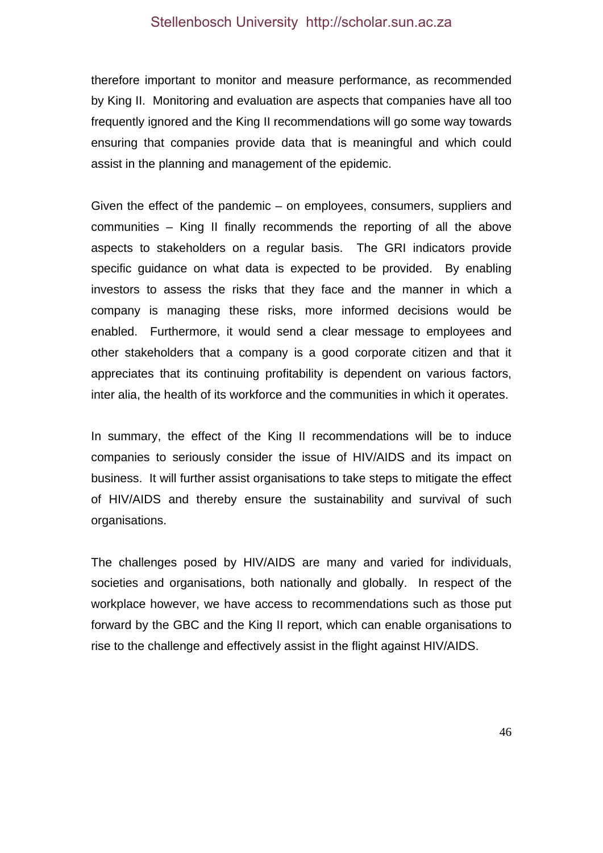therefore important to monitor and measure performance, as recommended by King II. Monitoring and evaluation are aspects that companies have all too frequently ignored and the King II recommendations will go some way towards ensuring that companies provide data that is meaningful and which could assist in the planning and management of the epidemic.

Given the effect of the pandemic – on employees, consumers, suppliers and communities – King II finally recommends the reporting of all the above aspects to stakeholders on a regular basis. The GRI indicators provide specific guidance on what data is expected to be provided. By enabling investors to assess the risks that they face and the manner in which a company is managing these risks, more informed decisions would be enabled. Furthermore, it would send a clear message to employees and other stakeholders that a company is a good corporate citizen and that it appreciates that its continuing profitability is dependent on various factors, inter alia, the health of its workforce and the communities in which it operates.

In summary, the effect of the King II recommendations will be to induce companies to seriously consider the issue of HIV/AIDS and its impact on business. It will further assist organisations to take steps to mitigate the effect of HIV/AIDS and thereby ensure the sustainability and survival of such organisations.

The challenges posed by HIV/AIDS are many and varied for individuals, societies and organisations, both nationally and globally. In respect of the workplace however, we have access to recommendations such as those put forward by the GBC and the King II report, which can enable organisations to rise to the challenge and effectively assist in the flight against HIV/AIDS.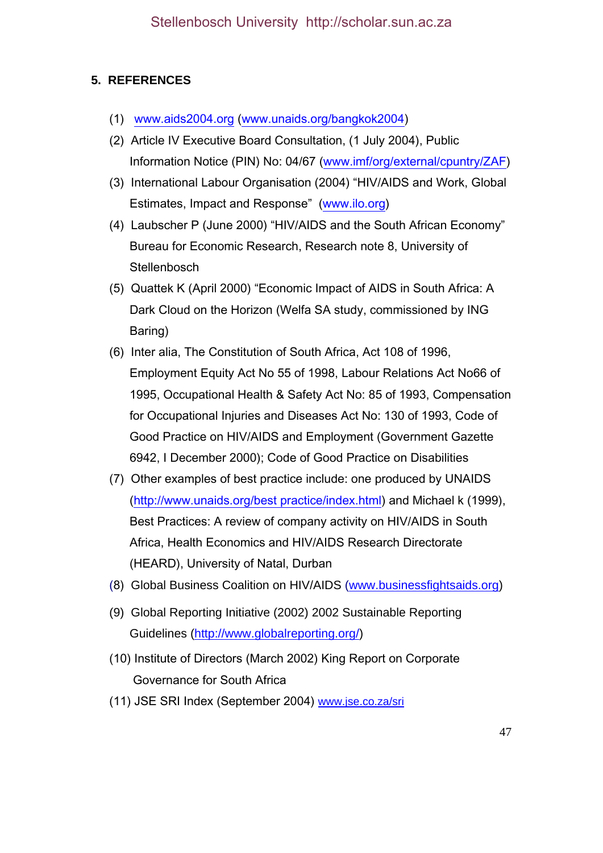# **5. REFERENCES**

- (1) www.aids2004.org (www.unaids.org/bangkok2004)
- (2) Article IV Executive Board Consultation, (1 July 2004), Public Information Notice (PIN) No: 04/67 (www.imf/org/external/cpuntry/ZAF)
- (3) International Labour Organisation (2004) "HIV/AIDS and Work, Global Estimates, Impact and Response" (www.ilo.org)
- (4) Laubscher P (June 2000) "HIV/AIDS and the South African Economy" Bureau for Economic Research, Research note 8, University of **Stellenbosch**
- (5) Quattek K (April 2000) "Economic Impact of AIDS in South Africa: A Dark Cloud on the Horizon (Welfa SA study, commissioned by ING Baring)
- (6) Inter alia, The Constitution of South Africa, Act 108 of 1996, Employment Equity Act No 55 of 1998, Labour Relations Act No66 of 1995, Occupational Health & Safety Act No: 85 of 1993, Compensation for Occupational Injuries and Diseases Act No: 130 of 1993, Code of Good Practice on HIV/AIDS and Employment (Government Gazette 6942, I December 2000); Code of Good Practice on Disabilities
- (7) Other examples of best practice include: one produced by UNAIDS (http://www.unaids.org/best practice/index.html) and Michael k (1999), Best Practices: A review of company activity on HIV/AIDS in South Africa, Health Economics and HIV/AIDS Research Directorate (HEARD), University of Natal, Durban
- (8) Global Business Coalition on HIV/AIDS (www.businessfightsaids.org)
- (9) Global Reporting Initiative (2002) 2002 Sustainable Reporting Guidelines (http://www.globalreporting.org/)
- (10) Institute of Directors (March 2002) King Report on Corporate Governance for South Africa
- (11) JSE SRI Index (September 2004) www.jse.co.za/sri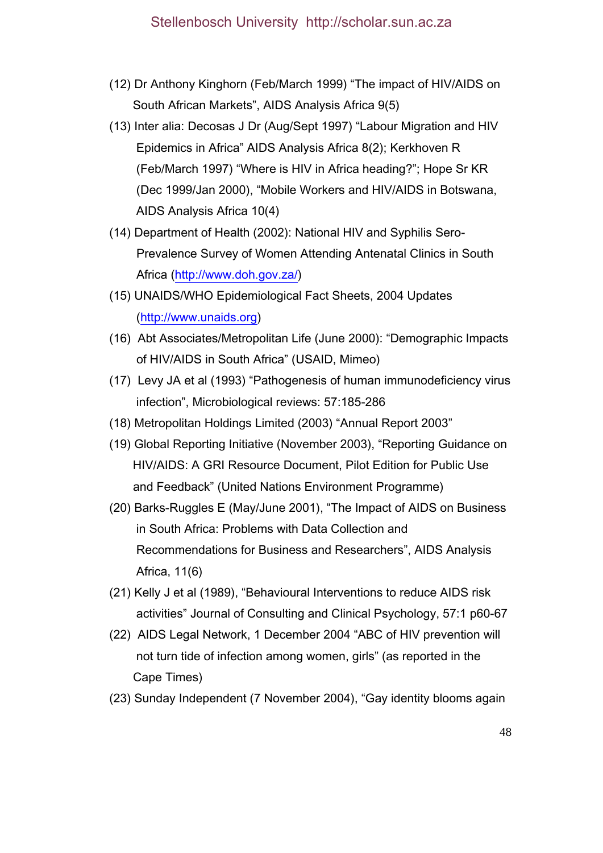- (12) Dr Anthony Kinghorn (Feb/March 1999) "The impact of HIV/AIDS on South African Markets", AIDS Analysis Africa 9(5)
- (13) Inter alia: Decosas J Dr (Aug/Sept 1997) "Labour Migration and HIV Epidemics in Africa" AIDS Analysis Africa 8(2); Kerkhoven R (Feb/March 1997) "Where is HIV in Africa heading?"; Hope Sr KR (Dec 1999/Jan 2000), "Mobile Workers and HIV/AIDS in Botswana, AIDS Analysis Africa 10(4)
- (14) Department of Health (2002): National HIV and Syphilis Sero- Prevalence Survey of Women Attending Antenatal Clinics in South Africa (http://www.doh.gov.za/)
- (15) UNAIDS/WHO Epidemiological Fact Sheets, 2004 Updates (http://www.unaids.org)
- (16) Abt Associates/Metropolitan Life (June 2000): "Demographic Impacts of HIV/AIDS in South Africa" (USAID, Mimeo)
- (17) Levy JA et al (1993) "Pathogenesis of human immunodeficiency virus infection", Microbiological reviews: 57:185-286
- (18) Metropolitan Holdings Limited (2003) "Annual Report 2003"
- (19) Global Reporting Initiative (November 2003), "Reporting Guidance on HIV/AIDS: A GRI Resource Document, Pilot Edition for Public Use and Feedback" (United Nations Environment Programme)
- (20) Barks-Ruggles E (May/June 2001), "The Impact of AIDS on Business in South Africa: Problems with Data Collection and Recommendations for Business and Researchers", AIDS Analysis Africa, 11(6)
- (21) Kelly J et al (1989), "Behavioural Interventions to reduce AIDS risk activities" Journal of Consulting and Clinical Psychology, 57:1 p60-67
- (22) AIDS Legal Network, 1 December 2004 "ABC of HIV prevention will not turn tide of infection among women, girls" (as reported in the Cape Times)
- (23) Sunday Independent (7 November 2004), "Gay identity blooms again